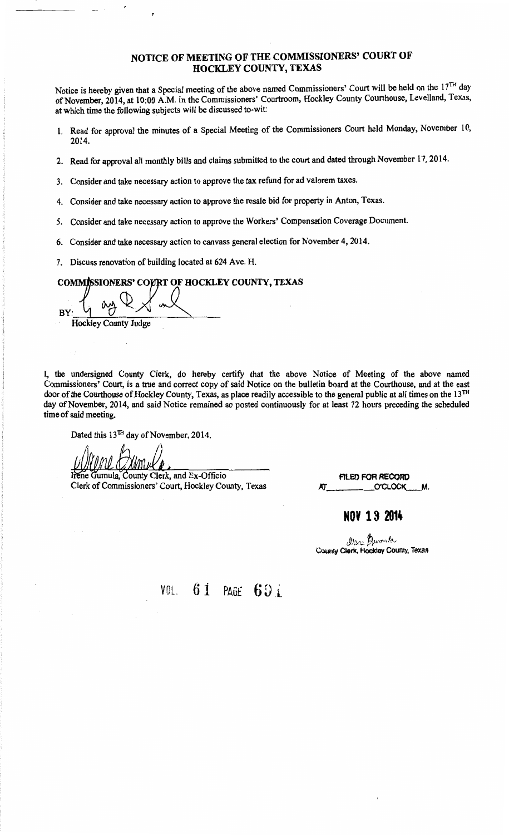# NOTICE OF MEETING OF THE COMMISSIONERS' COURT OF HOCKLEY COUNTY, TEXAS

Notice is hereby given that a Special meeting of the above named Commissioners' Court will be held on the 17<sup>TH</sup> day of November, 2014, at 10:00 A.M. in the Commissioners' Courtroom, Hockley County Courthouse, Levelland, Texas, at which time the following subjects will be discussed to-wit:

- 1. Read for approval the minutes of a Special Meeting of the Commissioners Court held Monday, November 10, 2014.
- 2. Read for approval all monthly bills and claims submitted to the court and dated through November 17, 2014.
- 3. Consider and take necessary action to approve the tax refund for ad valorem taxes.
- 4. Consider and take necessary action to approve the resale bid for property in Anton, Texas.
- 5. Consider and take necessary action to approve the Workers' Compensation Coverage Document.
- 6. Consider and take necessary action to canvass general election for November 4, 2014.
- 7. Discuss renovation of building located at 624 Ave. H.

COMMISSIONERS' COURT OF HOCKLEY COUNTY, TEXAS

 $B_Y:$   $\left\{ \begin{array}{c} \Delta x \to \Delta y \end{array} \right\}$ Hockley County Judge

I, the undersigned County Clerk, do hereby certify that the above Notice of Meeting of the above named Commissioners' Court, is a true and correct copy of said Notice on the bulletin board at the Courthouse, and at the east door of the Courthouse of.Hockley County, Texas, as place readily accessible to the general public at all times on the 13TH day of November, 2014, and said Notice remained so posted continuously for at least 72 hours preceding the scheduled time of said meeting.

Dated this 13™ day of November, 2014.

Gumula, County Clerk, and Ex-Officio Clerk of Commissioners' Court, Hockley County, Texas

FILED FOR RECORD O'CLOCK

**NOY 18 2014** 

*Dumela*<br>County Clerk, Hockley County, Texas

VOL.  $61$  PAGE  $691$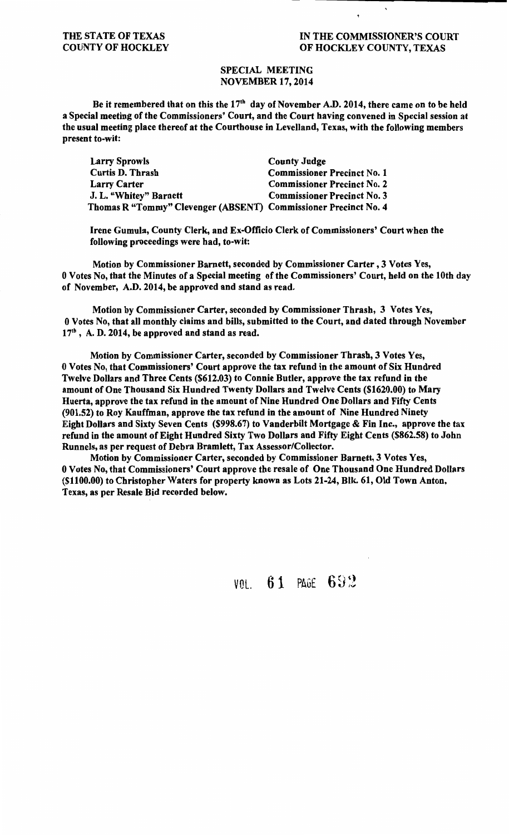## THE STATE OF TEXAS COUNTY OF HOCKLEY

## IN THE COMMISSIONER'S COURT OF HOCKLEY COUNTY, TEXAS

## SPECIAL MEETING NOVEMBER 17, 2014

Be it remembered that on this the  $17<sup>th</sup>$  day of November A.D. 2014, there came on to be held a Special meeting of the Commissioners' Court, and the Court having convened in Special session at the usual meeting place thereof at the Courthouse in Levelland, Texas, with the following members present to-wit:

| <b>Larry Sprowls</b>                                            | <b>County Judge</b>                |
|-----------------------------------------------------------------|------------------------------------|
| <b>Curtis D. Thrash</b>                                         | <b>Commissioner Precinct No. 1</b> |
| <b>Larry Carter</b>                                             | <b>Commissioner Precinct No. 2</b> |
| J. L. "Whitey" Barnett                                          | <b>Commissioner Precinct No. 3</b> |
| Thomas R "Tommy" Clevenger (ABSENT) Commissioner Precinct No. 4 |                                    |

Irene Gumula, County Clerk, and Ex-Officio Clerk of Commissioners' Court when the following proceedings were had, to-wit:

Motion by Commissioner Barnett, seconded by Commissioner Carter , 3 Votes Yes, 0 Votes No, that the Minutes of a Special meeting of the Commissioners' Court, held on the 10th day of November, A.D. 2014, be approved and stand as read.

Motion by Commissioner Carter, seconded by Commissioner Thrash, 3 Votes Yes, 0 Votes No, that all monthly claims and bills, submitted to the Court, and dated through November  $17<sup>th</sup>$ , A. D. 2014, be approved and stand as read.

Motion by Commissioner Carter, seconded by Commissioner Thrash, 3 Votes Yes, 0 Votes No, that Commissioners' Court approve the tax refund in the amount of Six Hundred Twelve Dollars and Three Cents (\$612.03) to Connie Butler, approve the tax refund in the amount of One Thousand Six Hundred Twenty Dollars and Twelve Cents (\$1620.00) to Mary Huerta, approve the tax refund in the amount of Nine Hundred One Dollars and Fifty Cents (901.52) to Roy Kauffman, approve the tax refund in the amount of Nine Hundred Ninety Eight Dollars and Sixty Seven Cents (\$998.67) to Vanderbilt Mortgage & Fin Inc., approve the tax refund in the amount of Eight Hundred Sixty Two Dollars and Fifty Eight Cents (\$862.58) to John Runnels, as per request of Debra Bramlett, Tax Assessor/Collector.

Motion by Commissioner Carter, seconded by Commissioner Barnett, 3 Votes Yes, 0 Votes No, that Commissioners' Court approve the resale of One Thousand One Hundred Dollars (\$1100.00) to Christopher Waters for property known as Lots 21-24, Blk. 61, Old Town Anton, Texas, as per Resale Bid recorded below.

VOL.  $61$  PAGE  $692$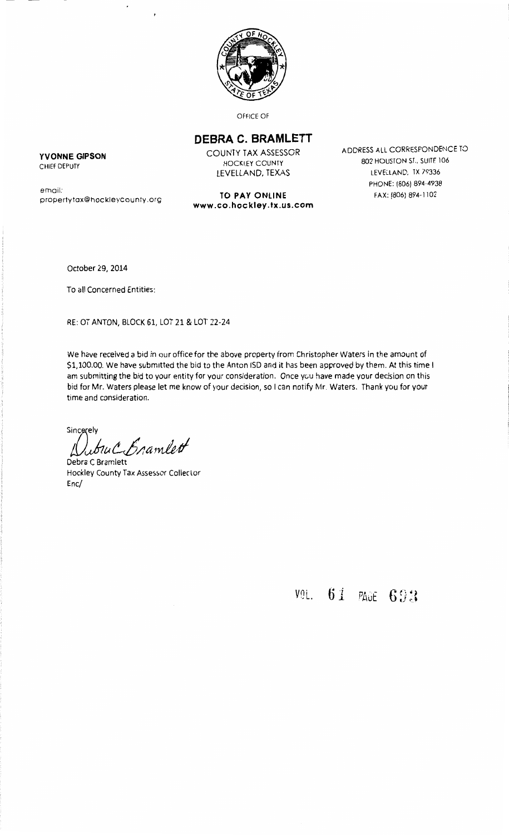

OFFICE OF

# **DEBRA C. BRAMLETT**

**www.co.hockley.tx.us.com** 

COUNTY TAX ASSESSOR HOCKLEY COUNTY LEVELLAND, TEXAS

**TO PAY ONLINE** 

ADDRESS ALL CORRESPONDENCE TO 802 HOUSTON ST.. SUITE 106 LEVELLAND. TX 79336 PHONE: (806) 894-4938 FAX: (806) 894-1102

**YVONNE GIPSON**  CHIEF DEPUTY

email: propertytax@hockleycounty.org

October 29, 2014

To all Concerned Entities:

RE: OT ANTON, BLOCK 61, LOT 21 & LOT 22-24

We have received a bid in our office for the above property from Christopher Waters in the amount of \$1, 100.00. We have submitted the bid to the Anton ISD and it has been approved by them. At this time I am submitting the bid to your entity for your consideration. Once you have made your decision on this bid for Mr. Waters please let me know of your decision, so I can notify Mr. Waters. Thank you for your time and consideration.

Sincerely fl}uJ,~ *t-,b/!a1nl!tfl* 

Debra C Bramlett Hockley County Tax Assessor Colleclor Enc/

Vn· ., L.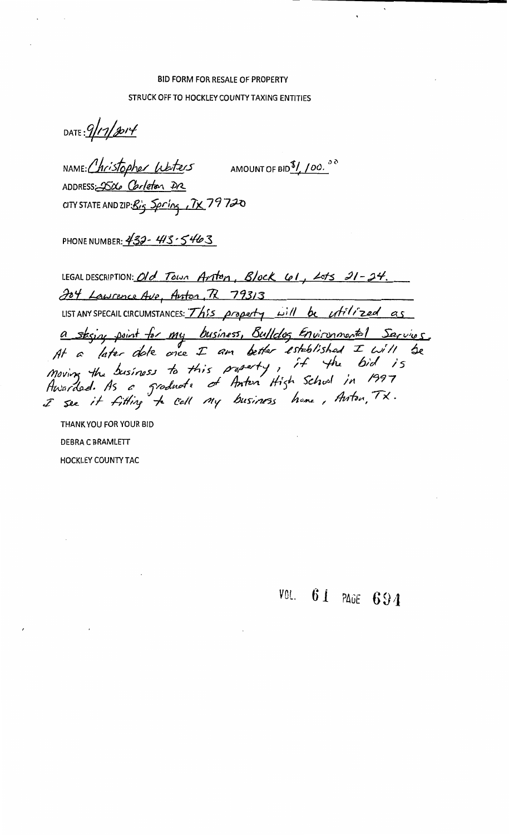# **BID FORM FOR RESALE OF PROPERTY** STRUCK OFF TO HOCKLEY COUNTY TAXING ENTITIES

DATE: 9/17/2014

NAME: Christopher Lubters AMOUNT OF BID<sup>\$</sup>/100.00 ADDRESS-2506 Carleton DR CITY STATE AND ZIP: Big Spring , TX 79720

PHONE NUMBER:  $432 - 413 - 5463$ 

LEGAL DESCRIPTION: Old Town Arton, Block 61, Lots 21-24. 204 Lawrence Ave, Anton, R 79313 SOY Lawrence Ave, Anton, R 79313<br>LISTANY SPECAIL CIRCUMSTANCES: This property will be utilized as a stasing point for my business, Bulldog Environmental Sarvings,<br>At a later date ance I am better established I will be<br>Moving the business to this presenty, it the bid is<br>Awarded. As a graduate of Anton High School in 199

THANK YOU FOR YOUR BID DEBRA C BRAMLETT **HOCKLEY COUNTY TAC** 

VOL. 61 PAGE 694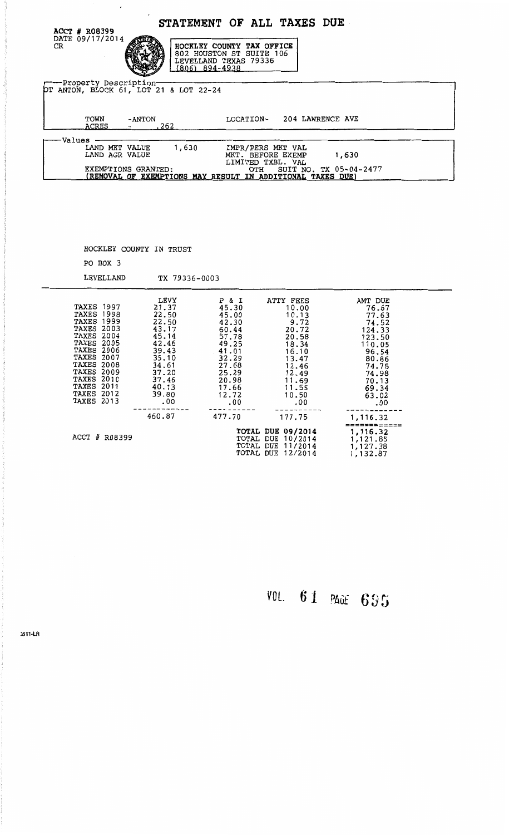|                                                                                                                                                 |                                                                                                                                          |                                                                                                                                  |                                                                                                                                   | <b>STATEMENT OF ALL TAXES DUE</b>                                                                                                                   |                                                                                                                                        |  |
|-------------------------------------------------------------------------------------------------------------------------------------------------|------------------------------------------------------------------------------------------------------------------------------------------|----------------------------------------------------------------------------------------------------------------------------------|-----------------------------------------------------------------------------------------------------------------------------------|-----------------------------------------------------------------------------------------------------------------------------------------------------|----------------------------------------------------------------------------------------------------------------------------------------|--|
| ACCT # R08399<br>DATE 09/17/2014<br>CR                                                                                                          |                                                                                                                                          | $(806)$ 894-4938                                                                                                                 | HOCKLEY COUNTY TAX OFFICE<br>802 HOUSTON ST SUITE 106<br>LEVELLAND TEXAS 79336                                                    |                                                                                                                                                     |                                                                                                                                        |  |
|                                                                                                                                                 | --Property Description-                                                                                                                  | OT ANTON, BLOCK 61, LOT 21 & LOT 22-24                                                                                           |                                                                                                                                   |                                                                                                                                                     |                                                                                                                                        |  |
| TOWN                                                                                                                                            | -ANTON<br>ACRES<br>$\sim$ 100 $\sim$ 100 $\sim$                                                                                          | .262                                                                                                                             | <b>LOCATION-</b>                                                                                                                  | 204 LAWRENCE AVE                                                                                                                                    |                                                                                                                                        |  |
| Values·                                                                                                                                         | LAND MKT VALUE<br>LAND AGR VALUE<br>EXEMPTIONS GRANTED:                                                                                  | 1,630                                                                                                                            | OTH                                                                                                                               | IMPR/PERS MKT VAL<br>MKT. BEFORE EXEMP<br>LIMITED TXBL. VAL<br>SUIT NO. TX 05-04-2477<br>(REMOVAL OF EXEMPTIONS MAY RESULT IN ADDITIONAL TAXES DUE) | 1,630                                                                                                                                  |  |
|                                                                                                                                                 |                                                                                                                                          |                                                                                                                                  |                                                                                                                                   |                                                                                                                                                     |                                                                                                                                        |  |
|                                                                                                                                                 | HOCKLEY COUNTY IN TRUST                                                                                                                  |                                                                                                                                  |                                                                                                                                   |                                                                                                                                                     |                                                                                                                                        |  |
|                                                                                                                                                 | PO BOX 3                                                                                                                                 |                                                                                                                                  |                                                                                                                                   |                                                                                                                                                     |                                                                                                                                        |  |
|                                                                                                                                                 | LEVELLAND                                                                                                                                | TX 79336-0003                                                                                                                    |                                                                                                                                   |                                                                                                                                                     |                                                                                                                                        |  |
| <b>TAXES 2007</b><br><b>TAXES 2008</b><br><b>TAXES 2009</b><br><b>TAXES 2010</b><br><b>TAXES 2011</b><br><b>TAXES 2012</b><br><b>TAXES 2013</b> | <b>TAXES 1997</b><br><b>TAXES 1998</b><br><b>TAXES 1999</b><br>TAXES 2003<br><b>TAXES 2004</b><br><b>TAXES 2005</b><br><b>TAXES 2006</b> | LEVY<br>21.37<br>22.50<br>22.50<br>43.17<br>45.14<br>42.46<br>39.43<br>35.10<br>34.61<br>37.20<br>37.46<br>40.13<br>39.80<br>.00 | P & I<br>45.30<br>45.00<br>42.30<br>60.44<br>57.78<br>49.25<br>41.01<br>32.29<br>27.68<br>25.29<br>20.98<br>17.66<br>12.72<br>.00 | ATTY FEES<br>10.00<br>10.13<br>9.72<br>20.72<br>20.58<br>18.34<br>16.10<br>13.47<br>12.46<br>12.49<br>11.69<br>11.55<br>10.50<br>.00                | AMT DUE<br>76.67<br>77.63<br>74.52<br>124.33<br>123.50<br>110.05<br>96.54<br>80.86<br>74.75<br>74.98<br>70.13<br>69.34<br>63.02<br>.00 |  |
|                                                                                                                                                 |                                                                                                                                          | 460.87                                                                                                                           | 477.70                                                                                                                            | 177.75                                                                                                                                              | 1,116.32<br>============                                                                                                               |  |
|                                                                                                                                                 | ACCT # R08399                                                                                                                            |                                                                                                                                  |                                                                                                                                   | <b>TOTAL DUE 09/2014</b><br><b>TOTAL DUE 10/2014</b><br><b>TOTAL DUE 11/2014</b><br>TOTAL DUE 12/2014                                               | 1,116.32<br>1,121.85<br>1,127.38<br>1,132.87                                                                                           |  |

VOL. 6 1 PAGE 6 *!)* fj

)811·LR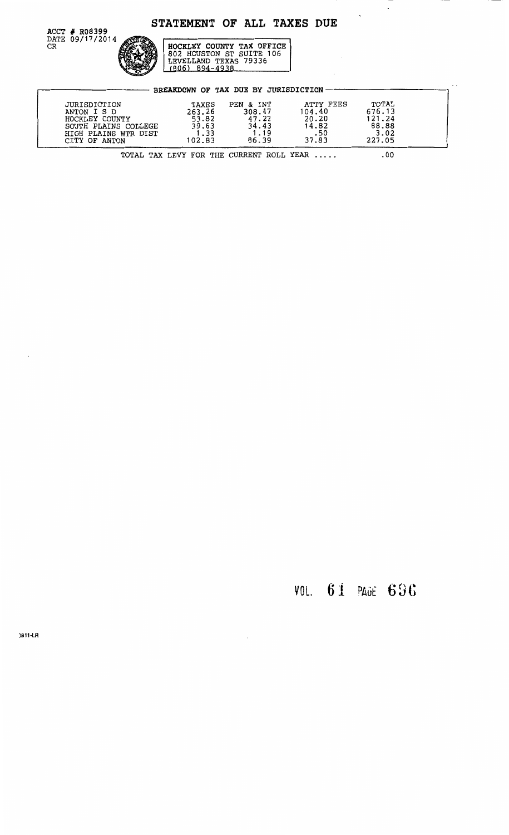# STATEMENT OF ALL TAXES DUE

 $\ddot{\phantom{1}}$ 

 $\Delta \phi$ 



HOCKLEY COUNTY TAX OFFICE<br>802 HOUSTON ST SUITE 106<br>LEVELLAND TEXAS 79336<br>(806) 894-4938

|                                                                                                                | BREAKDOWN OF TAX DUE BY JURISDICTION                |                                                        |                                                       |                                                      |
|----------------------------------------------------------------------------------------------------------------|-----------------------------------------------------|--------------------------------------------------------|-------------------------------------------------------|------------------------------------------------------|
| JURISDICTION<br>ANTON I S D<br>HOCKLEY COUNTY<br>SOUTH PLAINS COLLEGE<br>HIGH PLAINS WTR DIST<br>CITY OF ANTON | TAXES<br>263.26<br>53.82<br>39.63<br>1.33<br>102.83 | PEN & INT<br>308.47<br>47.22<br>34.43<br>1.19<br>86.39 | ATTY FEES<br>104.40<br>20.20<br>14.82<br>.50<br>37.83 | TOTAL<br>676.13<br>121.24<br>88.88<br>3.02<br>227.05 |
|                                                                                                                | TOTAL TAX LEVY FOR THE CURRENT ROLL YEAR            |                                                        |                                                       | . 00                                                 |

VOL. 61 PAGE 696

0811-LR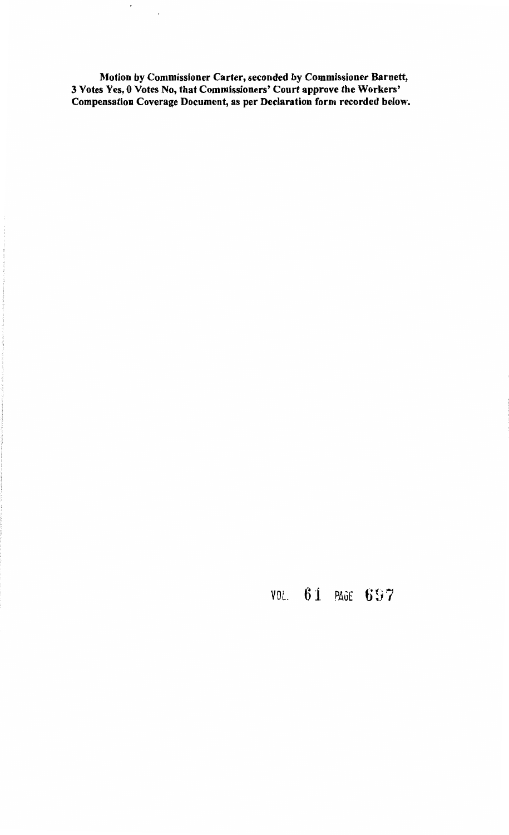Motion by Commissioner Carter, seconded by Commissioner Barnett, 3 Votes Yes, 0 Votes No, that Commissioners' Court approve the Workers' Compensation Coverage Document, as per Declaration form recorded below.

 $\mathcal{A}$ 

 $\mathcal{A}$ 

VOL. 61 PAGE 697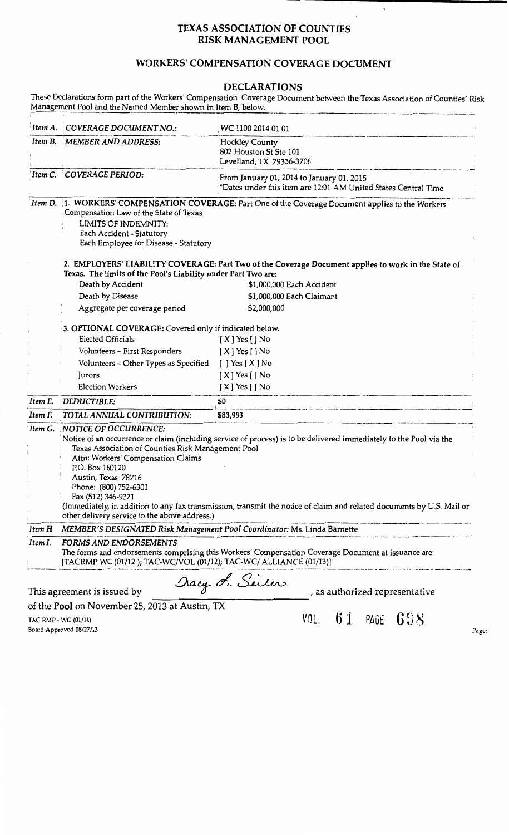# TEXAS ASSOCIATION OF COUNTIES RISK MANAGEMENT POOL

# WORKERS' COMPENSATION COVERAGE DOCUMENT

## DECLARATIONS

These Declarations form part of the Workers' Compensation Coverage Document between the Texas Association of Counties' Risk Management Pool and the Named Member shown in Item B, below. *<i>Item A. COVERAGE DOCUMENT NO.: Item B. MEMBER AND ADDRESS: 'Item* C. . *COVERAGE PERIOD:*  WC 1100 2014 01 01 Hockley County 802 Houston St Ste 101 From January 01, 2014 to January 01, 2015 \*Dates under this item are 12:01 AM United States Central Time Item D. 1. WORKERS' COMPENSATION COVERAGE: Part One of the Coverage Document applies to the Workers' Compensation Law of the State of Texas LIMITS OF INDEMNITY: Each Accident - Statutory Each Employee for Disease - Statutory 2. EMPLOYERS' LIABILITY COVERAGE: Part Two of the Coverage Document applies to work in the State of Texas. The limits of the Pool's Liability under Part Two are: Death by Accident **\$1,000,000 Each Accident** Death by Disease Aggregate per coverage period \$1,000,000 Each Claimant \$2,000,000 · 3. OPTIONAL COVERAGE: Covered only if indicated below. Elected Officials [ X ] Yes [ ] No Volunteers - First Responders Volunteers - Other Types as Specified Jurors Election Workers [ X] Yes []No [ ] Yes [ X] No [ X] Yes []No [ X] Yes []No Election Workers [X] Yes [J No<br>Item E. DEDUCTIBLE: **\$0** Item E. DEDUCTIBLE: **50**<br>Item F. TOTAL ANNUAL CONTRIBUTION: **583,993**<br>Item G. NOTICE OF OCCURRENCE: ·Notice of an occurrence or claim (including service of process) is to be delivered immediately to the Pool via the Texas Association of Counties Risk Management Pool Attn: Workers' Compensation Claims P.O. Box 160120 Austin, Texas 78716 Phone: (800) 752-6301 Fax (512} 346-9321 (Immediately, in addition to any fax transmission, transmit the notice of claim and related documents by U.S. Mail or other delivery service to the above address.)<br>Item H MEMBER'S DESIGNATED Risk Management Pool Coordinator: Ms. Linda Barnette --------------------··-. ------·-~····-·--- ··--- -~· *Item I. FORMS AND ENDORSEMENTS*  The forms and endorsements comprising this Workers' Compensation Coverage Document at issuance are: [TACRMP WC (01/12 ); TAC-WCNOL (01/12); TAC-WC/ ALLIANCE (01/13)] This agreement is issued by  $a_{\mathcal{Y}}$ , Sillow , as authorized representative

of the Pool on November 25, 2013 at Austin, TX

TAC RMP • WC (01/14) Board Approved 08/27/13

VOL.  $61$  PAGE  $698$  Page: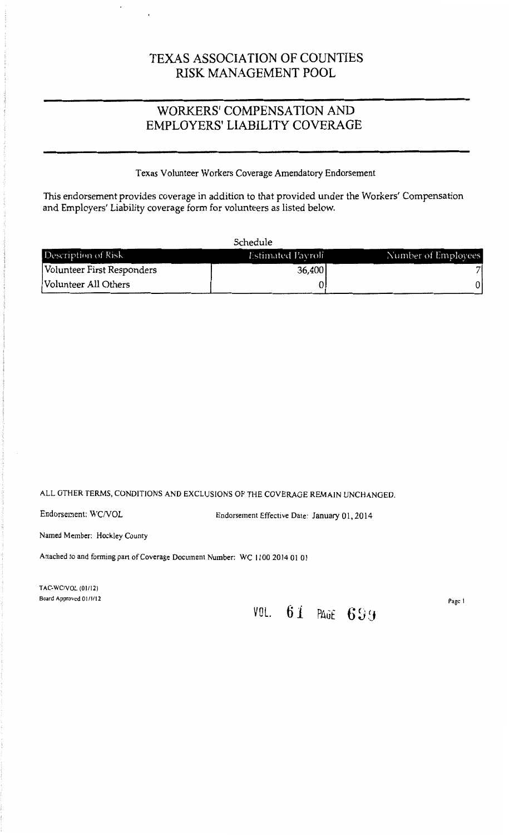# TEXAS ASSOCIATION OF COUNTIES RISK MANAGEMENT POOL

# WORKERS' COMPENSATION AND EMPLOYERS' LIABILITY COVERAGE

## Texas Volunteer Workers Coverage Amendatory Endorsement

This endorsement provides coverage in addition to that provided under the Workers' Compensation and Employers' Liability coverage form for volunteers as listed below.

| Description of Risk        | <b>Estimated Payroll</b> | Number of Employees |
|----------------------------|--------------------------|---------------------|
| Volunteer First Responders | 36,400                   |                     |
| Volunteer All Others       |                          |                     |

## ALL OTHER TERMS, CONDITIONS AND EXCLUSIONS OF THE COVERAGE REMAIN UNCHANGED.

Endorsement: WCNOL Endorsement Effective Date: January 01, 2014

Named Member: Hockley County

 $\cdot$ 

Attached to and forming part of Coverage Document Number: WC 1100 2014 01 01

TAC-WCNOL (01/12) Board Approved 01/1/12

**VOL. 61 PAGE 699** 

Page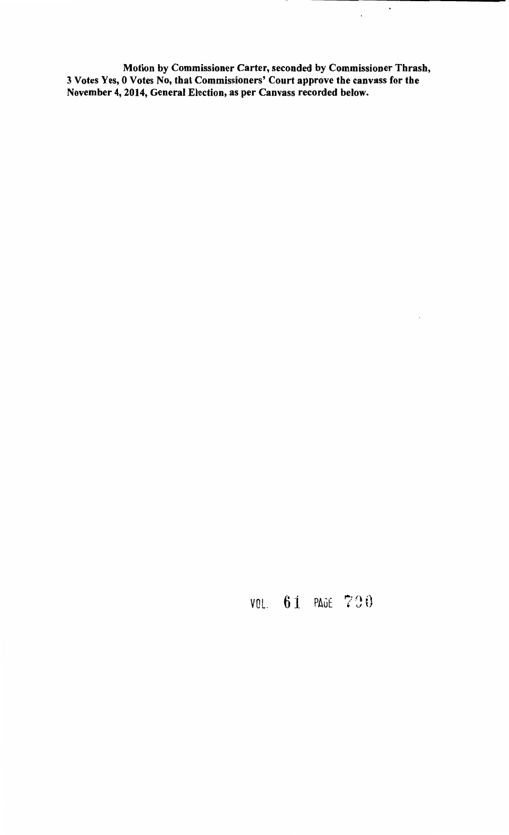Motion by Commissioner Carter, seconded by Commissioner Thrash, 3 Votes Yes, 0 Votes No, that Commissioners' Court approve the canvass for the November 4, 2014, General Election, as per Canvass recorded below.

 $\langle \rangle$ 

 $\bar{\gamma}$ 

 $\bar{\mathcal{A}}$ 

VOL. 6 i PAGE 7 J 0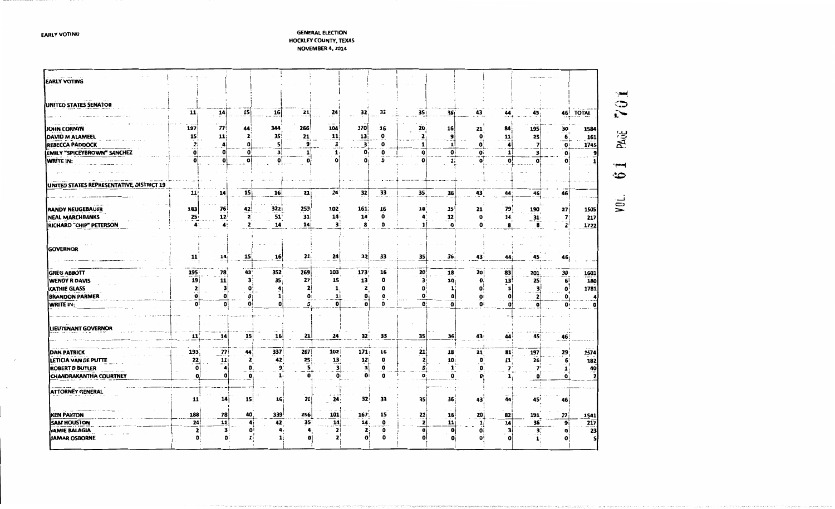**GENERAL ELECTION** HOCKLEY COUNTY, TEXAS NOVEMBER 4, 2014

| <b>EARLY VOTING</b>                        |                  |                     |                 |                 |              |                       |                            |                  |                                |                    |              |              |                 |              |                                 |         |
|--------------------------------------------|------------------|---------------------|-----------------|-----------------|--------------|-----------------------|----------------------------|------------------|--------------------------------|--------------------|--------------|--------------|-----------------|--------------|---------------------------------|---------|
|                                            |                  |                     |                 |                 |              |                       |                            |                  |                                |                    |              |              |                 |              |                                 | √, ma   |
| UNITED STATES SENATOR                      | 11               | 14                  | $\frac{15}{1}$  | 16              | 21           | 241                   | 32.                        | 33               | 35                             | 36                 | 43           | 44           | 45              |              | 46 TOTAL                        | ಾ<br>î• |
| JOHN CORNYN                                | 197              | $\boldsymbol{\eta}$ | 44              | 344             | 266          | 104                   | 170                        | 16               | 20                             | 16                 | 21           | 84           | 195             | 30           | 1584                            |         |
| DAVID M ALAMEEL                            | 15               | 11:                 | 2               | 35              | 21           | $\mathbf{11}$         | 13                         | $\mathbf o$      | 2                              | $\mathbf{9}$       | $\mathbf{o}$ | 11           | 25              |              | $\overline{\mathbf{6}}$<br>161  | PAUL    |
| <b>REBECCA PADDOCK</b>                     | 2.               | а                   | o               | 5               | 9            | $\mathbf{3}^{\prime}$ | з:                         | 0                |                                | 1                  | Ω            |              |                 |              | 1745<br>$\mathbf{0}$            |         |
| EMILY "SPICEYBROWN" SANCHEZ                | Ωi               | o                   | o               | з١              |              | 1.                    | 0.                         | $\mathbf{o}$     | o                              | ٥ŀ                 | ۵ï           |              | з               |              | e                               |         |
| <b>WRITE IN:</b>                           | o                | O!                  | $\mathbf{0}$    | $\mathbf{o}$    |              |                       | $\bullet$                  | $\mathbf{o}$     | o                              | 1                  | o            | $\mathbf{O}$ | о               |              |                                 |         |
|                                            |                  |                     |                 |                 |              |                       |                            |                  |                                |                    |              |              |                 |              |                                 | ≂<br>ౕు |
| UNITED STATES REPRESENTATIVE, DISTRICT 19  |                  |                     |                 |                 |              |                       |                            |                  |                                |                    |              |              |                 |              |                                 |         |
|                                            | 11               | 14                  | 15              | 16              | 21           | $24^{\circ}$          | 32                         | 33               | 35 <sub>1</sub>                | 36                 | 43           | 44           | 45              | 46           |                                 |         |
| <b>RANDY NEUGEBAUER</b>                    | 183              | 76                  | 42              | 3221            | 253          | 102                   | 161                        | 16               | 18                             | 15                 | 21           | 79           | 190             | <b>27</b>    | 1505                            | yği.    |
| <b>NEAL MARCHBANKS</b>                     | 25 <sub>1</sub>  | 12 <sub>1</sub>     | $\mathbf{z}$    | 51              | 31           | 14                    | 14                         | $\mathbf 0$      |                                | 12                 | $\mathbf o$  | 14           |                 |              | $\overline{\mathbf{r}}$<br>217  |         |
| RICHARD "CHIP" PETERSON                    |                  | 4                   | $\mathbf{z}$    | 14              | 14           | з.                    | 8                          | o                | $\mathbf{1}$                   | $\mathbf{o}$       | O            | 8            | $\frac{31}{8}$  |              | $\overline{ }$<br>1722          |         |
|                                            |                  |                     |                 |                 |              |                       |                            |                  |                                |                    |              |              |                 |              |                                 |         |
| <b>GOVERNOR</b>                            |                  |                     |                 |                 |              |                       |                            |                  |                                |                    |              |              |                 |              |                                 |         |
|                                            | 11               | $\frac{14}{1}$      | 15              | 16              | 21,          | 24                    | 32                         | 33               | 35                             | 36                 | 43           | 44           | 45.             |              | 46                              |         |
|                                            |                  |                     |                 |                 |              |                       |                            |                  |                                |                    |              |              |                 |              |                                 |         |
| <b>GREG ABBOTT</b>                         | 195 <sup>:</sup> | 78                  | 43              | 352             | 269          | 103                   | 173                        | 16               | 20                             | 18                 | 20           | 83           | 201             |              | 1601                            |         |
| <b>WENDY R DAVIS</b>                       | 19               | 11                  | 3               | 35              | 27           | 15                    | 13                         | 0                | 3                              | 10 <sub>i</sub>    | O            | 13           | 25 <sup>1</sup> |              | $\frac{30}{6}$<br>180           |         |
| KATHIE GLASS                               | 2                | з                   | n               | 4               | $\mathbf{z}$ |                       | 2                          | O                | O                              | 1                  | o:           |              | 3               |              | $\mathbf{o}$<br>1781            |         |
| <b>BRANDON PARMER</b>                      | O                | $\mathbf 0$         |                 | $\mathbf{1}$    | o            | 11                    | o                          | ٥                | O.                             | o                  | 0            |              |                 |              | n                               |         |
| WRITE IN:                                  | O۱               | o                   | $\mathbf{o}$    | $\mathbf{0}$    | n            |                       | ŋ                          | ٥                | $\mathbf{0}$                   | $\mathbf o$        | U:           | o            |                 | O:           | O<br>o                          |         |
|                                            |                  |                     |                 |                 |              |                       |                            |                  |                                |                    |              |              |                 |              |                                 |         |
| LIEUTENANT GOVERNOR                        |                  |                     |                 |                 |              |                       |                            |                  |                                |                    |              |              |                 |              |                                 |         |
|                                            | 11               | 14                  | 15 <sup>2</sup> | 16              | 21           | 24                    | 32                         | 33               | 35                             | 36                 | 43           |              | 45              |              |                                 |         |
|                                            |                  |                     |                 |                 |              |                       |                            |                  |                                |                    |              | 44           |                 |              | 46                              |         |
| <b>DAN PATRICK</b>                         | 193              | 77                  | 44              | 337             | 267          | 102                   | 171;                       | 16               | 21                             | 18                 | 21           | 81           | 197             | 29           | 1574                            |         |
| LETICIA VAN DE PUTTE                       | 22               | $\frac{11}{1}$      | 2               | 42              | 25           | 13                    | 12                         | 0                | 2i                             | 10                 | $\mathbf{o}$ | $11^{\circ}$ | <b>26</b>       |              | 182<br>6                        |         |
| <b>ROBERT D BUTLER</b>                     | $\mathbf{o}$     |                     | Ω               | 9               | 5            | 3                     | $\mathbf{3}^{\dagger}_{1}$ | 0                | ٥i                             |                    | 0.           |              | $\mathbf{v}$    |              | $\mathbf{1}$                    |         |
| CHANDRAKANTHA COURTNEY                     | $\mathbf o$      | n                   | $\mathbf o$     | 1.              |              | ٥                     | Oi                         | 0                | O٠                             | $\frac{1}{\alpha}$ | O.           |              | ٥               |              | $\frac{40}{2}$<br>$\bullet$     |         |
|                                            |                  |                     |                 |                 |              |                       |                            |                  |                                |                    |              |              |                 |              |                                 |         |
| <b>ATTORNEY GENERAL</b>                    |                  |                     |                 |                 |              |                       |                            |                  |                                |                    |              |              |                 |              |                                 |         |
|                                            |                  |                     |                 | 16 <sub>1</sub> | 21           | 24                    | 32 <sup>i</sup>            | 33               | 35                             | 36                 | 43           | 44           | 45              | 46 i         |                                 |         |
|                                            | 11               | 14                  | 15 <sup>1</sup> |                 |              |                       |                            |                  |                                |                    |              |              |                 |              |                                 |         |
|                                            |                  |                     |                 |                 |              |                       |                            |                  |                                |                    |              |              |                 |              |                                 |         |
| <b>KEN PAXTON</b>                          | 188              | 78                  | 40              | 339<br>Δi       | 256          | 101                   | 167                        | 15               |                                | 16                 | 20 j         | 82           | 191             | 27           | 1541                            |         |
| <b>SAM HOUSTON</b><br><b>JAMIE BALAGIA</b> | 24<br>2          | 11                  | з<br>o          | 42 <sup>2</sup> | 35           | 14<br>2               | 14<br>2                    | $\mathbf o$<br>0 | $\frac{21}{2}$<br>$\mathbf{0}$ | 11<br> 0           | O.           | 14<br>з      | 36'             | $\mathbf{3}$ | 9i<br>217<br>23<br>$\mathbf{0}$ |         |

**EARLY VOTING**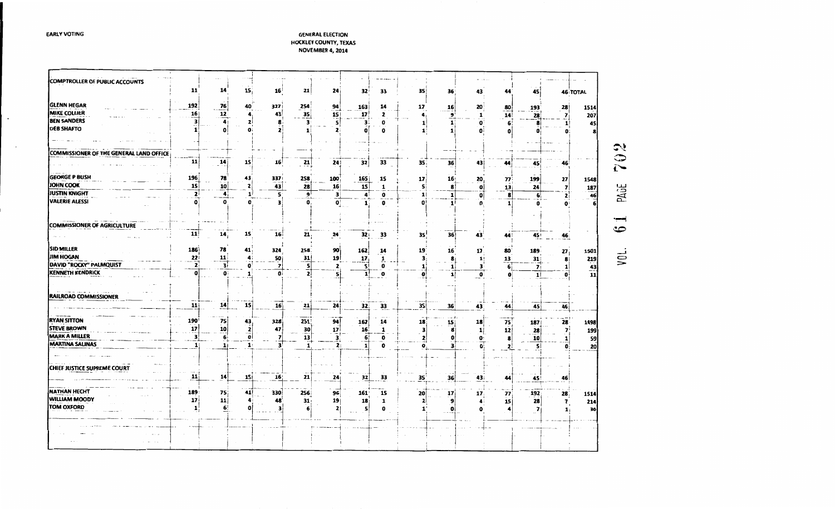### **GENERAL ELECTION** HOCKLEY COUNTY, TEXAS

**EARLY VOTING** 

 $\bullet$ 

 $\cdot$ 

NOVEMBER 4, 2014

| 11<br>14<br>15<br>16<br>21<br>24<br>32 <sup>i</sup><br>35<br>33<br>36<br>44<br>43<br>45 i<br><b>46 TOTAL</b><br>192<br>76<br>327<br>40<br>254<br>94<br>163<br>14<br>17<br>$\mathbf{16}$<br>20<br>80<br>193<br>28<br>1514<br><b>MIKE COLLIER</b><br>$\overline{12}$<br>35<br>16<br>15<br>$\overline{\mathbf{z}}$<br>4.<br>43<br>17<br>9<br>28<br>207<br>2<br>4 <sub>1</sub><br>14<br>1<br><b>BEN SANDERS</b><br>з<br>$\mathbf{a}$<br>2<br>3<br>3<br>$\mathbf{1}$<br>45<br>0<br>o<br>8<br>1<br>$\bar{o}$<br><b>DEB SHAFTO</b><br>$\mathbf{0}$<br>$\mathbf o$<br>$\mathbf{1}$<br>O<br>n<br>o<br>بارج<br>ာ<br>11<br>14<br><b>15</b><br>21<br>32<br>33<br>16<br>24<br>35,<br>36<br>45<br>43<br>44<br>46<br>$\tilde{\mathbf{C}}$<br><b>GEORGE P BUSH</b><br>196<br>78<br><b>258</b><br>43<br>337<br>17<br>27<br>100<br><b>165</b><br>15<br>16 <sub>1</sub><br>20<br>77<br>199<br>1548<br>PAGE<br>15<br>10 <sup>1</sup><br>15<br>43<br>28<br>$\mathbf{1}$<br>16 <sub>1</sub><br>8<br>13 <sub>1</sub><br>$\overline{ }$<br>187<br>5<br>24<br>$\mathbf{0}$<br><b>JUSTIN KNIGHT</b><br>$\mathbf{z}$<br>46<br>2 <sup>1</sup><br>ا و<br>5<br>3<br>4<br>0<br>1<br>6<br>4<br>$\mathbf{1}$<br>1<br>8<br>$\mathbf{0}$<br>$\Omega$<br>0.<br>O.<br>0<br>1<br>$\mathbf{1}$<br>مه<br>11<br>35!<br>14 <sub>i</sub><br>15<br>21.<br>32 <sub>1</sub><br>33<br>36<br>43<br>16 i<br>24<br>45!<br>46<br>44<br><b>SID MILLER</b><br>186<br>78<br>90 <br>41.<br>324<br>258<br>162<br>19<br>17 <sub>1</sub><br>14<br>16 <sup>°</sup><br>189<br>27 <sub>1</sub><br>1501<br>80<br>yn<br>JIM HOGAN<br>22<br>11<br>19<br>31<br>1!<br>219<br>4<br>50<br>17 <sub>i</sub><br>31<br>8<br>13<br>1<br>з,<br>8<br>$\overline{2}$<br>DAVID "ROCKY" PALMQUIST<br>$\frac{43}{11}$<br>3i<br>$\mathbf{o}$<br>5<br>5!<br>$\overline{7}$<br>1 <br>71<br>$\mathbf{z}$<br>0<br>3<br>$\mathbf{1}$<br>$\overline{\mathbf{z}}$<br>11<br>O<br>O.<br>O.<br>5i<br>1!<br>O.<br>$\mathbf o$<br>1<br>RAILROAD COMMISSIONER<br>15<br>11<br>35 j<br>16 <sup>1</sup><br>21<br>24<br>33<br>14<br>32<br>36<br>43<br>45<br>46<br>44<br><b>RYAN SITTON</b><br>190 <sup>1</sup><br>75<br>94<br>75<br>328<br>251<br>18<br>162<br>14<br>15 <sub>i</sub><br>18<br>187<br>28<br>1498<br>43<br><b>STEVE BROWN</b><br>17<br>10<br>12<br>30<br>17<br>8<br>$\overline{\mathbf{z}}$<br>16<br>7<br>199<br>47<br>1<br>28<br>з<br>$\mathbf{1}$<br><b>MARK A MILLER</b><br>3<br>0i<br>6<br>59<br>6<br>13<br>0<br>$\mathbf{0}$<br>O:<br>7<br>3.<br>10<br><b>MARTINA SALINAS</b><br>$\overline{\mathbf{3}}$<br>$\overline{\mathbf{3}}$<br>20<br>$\mathbf{1}$<br>$\mathbf{S}$<br>11<br>$\mathbf 0$<br>15<br>2:<br>1<br>o<br>$\mathbf{z}$<br>11<br>14<br>1S <sub>j</sub><br>21<br>36<br>16<br>33<br>32<br>35<br>24 <sub>1</sub><br>43 i<br>45<br>44<br>46<br>189<br>75 i<br>41<br>330<br>256<br>96<br>161<br>15<br>20<br>1514<br>17<br>17 <sub>1</sub><br>77<br>192<br>28 <sub>1</sub><br>17<br>11<br>A.<br>48<br>31 <sub>1</sub><br>19<br>18<br>$\mathbf{1}$<br>9<br>15<br>28<br>$\overline{\mathbf{z}}$<br>214<br>$\mathbf{z}$<br>$\blacktriangle$ :<br>1<br>6<br>5<br>$\mathbf{0}$<br>36<br>0<br>Ω<br>з<br>21<br>0<br>7<br>$\mathbf{1}$ |                                         |  |  |  |  |  |  |  |  |
|---------------------------------------------------------------------------------------------------------------------------------------------------------------------------------------------------------------------------------------------------------------------------------------------------------------------------------------------------------------------------------------------------------------------------------------------------------------------------------------------------------------------------------------------------------------------------------------------------------------------------------------------------------------------------------------------------------------------------------------------------------------------------------------------------------------------------------------------------------------------------------------------------------------------------------------------------------------------------------------------------------------------------------------------------------------------------------------------------------------------------------------------------------------------------------------------------------------------------------------------------------------------------------------------------------------------------------------------------------------------------------------------------------------------------------------------------------------------------------------------------------------------------------------------------------------------------------------------------------------------------------------------------------------------------------------------------------------------------------------------------------------------------------------------------------------------------------------------------------------------------------------------------------------------------------------------------------------------------------------------------------------------------------------------------------------------------------------------------------------------------------------------------------------------------------------------------------------------------------------------------------------------------------------------------------------------------------------------------------------------------------------------------------------------------------------------------------------------------------------------------------------------------------------------------------------------------------------------------------------------------------------------------------------------------------------------------------------------------------------------------------------------------------------------------------------------------------------------------------------------------------------------------------------------------------------------------------------------------------------------------------------------------------------------------------------------------------------------------------------------------------------------------------|-----------------------------------------|--|--|--|--|--|--|--|--|
|                                                                                                                                                                                                                                                                                                                                                                                                                                                                                                                                                                                                                                                                                                                                                                                                                                                                                                                                                                                                                                                                                                                                                                                                                                                                                                                                                                                                                                                                                                                                                                                                                                                                                                                                                                                                                                                                                                                                                                                                                                                                                                                                                                                                                                                                                                                                                                                                                                                                                                                                                                                                                                                                                                                                                                                                                                                                                                                                                                                                                                                                                                                                                         | COMPTROLLER OF PUBLIC ACCOUNTS          |  |  |  |  |  |  |  |  |
|                                                                                                                                                                                                                                                                                                                                                                                                                                                                                                                                                                                                                                                                                                                                                                                                                                                                                                                                                                                                                                                                                                                                                                                                                                                                                                                                                                                                                                                                                                                                                                                                                                                                                                                                                                                                                                                                                                                                                                                                                                                                                                                                                                                                                                                                                                                                                                                                                                                                                                                                                                                                                                                                                                                                                                                                                                                                                                                                                                                                                                                                                                                                                         |                                         |  |  |  |  |  |  |  |  |
|                                                                                                                                                                                                                                                                                                                                                                                                                                                                                                                                                                                                                                                                                                                                                                                                                                                                                                                                                                                                                                                                                                                                                                                                                                                                                                                                                                                                                                                                                                                                                                                                                                                                                                                                                                                                                                                                                                                                                                                                                                                                                                                                                                                                                                                                                                                                                                                                                                                                                                                                                                                                                                                                                                                                                                                                                                                                                                                                                                                                                                                                                                                                                         | <b>GLENN HEGAR</b>                      |  |  |  |  |  |  |  |  |
|                                                                                                                                                                                                                                                                                                                                                                                                                                                                                                                                                                                                                                                                                                                                                                                                                                                                                                                                                                                                                                                                                                                                                                                                                                                                                                                                                                                                                                                                                                                                                                                                                                                                                                                                                                                                                                                                                                                                                                                                                                                                                                                                                                                                                                                                                                                                                                                                                                                                                                                                                                                                                                                                                                                                                                                                                                                                                                                                                                                                                                                                                                                                                         |                                         |  |  |  |  |  |  |  |  |
|                                                                                                                                                                                                                                                                                                                                                                                                                                                                                                                                                                                                                                                                                                                                                                                                                                                                                                                                                                                                                                                                                                                                                                                                                                                                                                                                                                                                                                                                                                                                                                                                                                                                                                                                                                                                                                                                                                                                                                                                                                                                                                                                                                                                                                                                                                                                                                                                                                                                                                                                                                                                                                                                                                                                                                                                                                                                                                                                                                                                                                                                                                                                                         |                                         |  |  |  |  |  |  |  |  |
|                                                                                                                                                                                                                                                                                                                                                                                                                                                                                                                                                                                                                                                                                                                                                                                                                                                                                                                                                                                                                                                                                                                                                                                                                                                                                                                                                                                                                                                                                                                                                                                                                                                                                                                                                                                                                                                                                                                                                                                                                                                                                                                                                                                                                                                                                                                                                                                                                                                                                                                                                                                                                                                                                                                                                                                                                                                                                                                                                                                                                                                                                                                                                         |                                         |  |  |  |  |  |  |  |  |
|                                                                                                                                                                                                                                                                                                                                                                                                                                                                                                                                                                                                                                                                                                                                                                                                                                                                                                                                                                                                                                                                                                                                                                                                                                                                                                                                                                                                                                                                                                                                                                                                                                                                                                                                                                                                                                                                                                                                                                                                                                                                                                                                                                                                                                                                                                                                                                                                                                                                                                                                                                                                                                                                                                                                                                                                                                                                                                                                                                                                                                                                                                                                                         |                                         |  |  |  |  |  |  |  |  |
|                                                                                                                                                                                                                                                                                                                                                                                                                                                                                                                                                                                                                                                                                                                                                                                                                                                                                                                                                                                                                                                                                                                                                                                                                                                                                                                                                                                                                                                                                                                                                                                                                                                                                                                                                                                                                                                                                                                                                                                                                                                                                                                                                                                                                                                                                                                                                                                                                                                                                                                                                                                                                                                                                                                                                                                                                                                                                                                                                                                                                                                                                                                                                         | COMMISSIONER OF THE GENERAL LAND OFFICE |  |  |  |  |  |  |  |  |
|                                                                                                                                                                                                                                                                                                                                                                                                                                                                                                                                                                                                                                                                                                                                                                                                                                                                                                                                                                                                                                                                                                                                                                                                                                                                                                                                                                                                                                                                                                                                                                                                                                                                                                                                                                                                                                                                                                                                                                                                                                                                                                                                                                                                                                                                                                                                                                                                                                                                                                                                                                                                                                                                                                                                                                                                                                                                                                                                                                                                                                                                                                                                                         |                                         |  |  |  |  |  |  |  |  |
|                                                                                                                                                                                                                                                                                                                                                                                                                                                                                                                                                                                                                                                                                                                                                                                                                                                                                                                                                                                                                                                                                                                                                                                                                                                                                                                                                                                                                                                                                                                                                                                                                                                                                                                                                                                                                                                                                                                                                                                                                                                                                                                                                                                                                                                                                                                                                                                                                                                                                                                                                                                                                                                                                                                                                                                                                                                                                                                                                                                                                                                                                                                                                         |                                         |  |  |  |  |  |  |  |  |
|                                                                                                                                                                                                                                                                                                                                                                                                                                                                                                                                                                                                                                                                                                                                                                                                                                                                                                                                                                                                                                                                                                                                                                                                                                                                                                                                                                                                                                                                                                                                                                                                                                                                                                                                                                                                                                                                                                                                                                                                                                                                                                                                                                                                                                                                                                                                                                                                                                                                                                                                                                                                                                                                                                                                                                                                                                                                                                                                                                                                                                                                                                                                                         | <b>JOHN COOK</b>                        |  |  |  |  |  |  |  |  |
|                                                                                                                                                                                                                                                                                                                                                                                                                                                                                                                                                                                                                                                                                                                                                                                                                                                                                                                                                                                                                                                                                                                                                                                                                                                                                                                                                                                                                                                                                                                                                                                                                                                                                                                                                                                                                                                                                                                                                                                                                                                                                                                                                                                                                                                                                                                                                                                                                                                                                                                                                                                                                                                                                                                                                                                                                                                                                                                                                                                                                                                                                                                                                         |                                         |  |  |  |  |  |  |  |  |
|                                                                                                                                                                                                                                                                                                                                                                                                                                                                                                                                                                                                                                                                                                                                                                                                                                                                                                                                                                                                                                                                                                                                                                                                                                                                                                                                                                                                                                                                                                                                                                                                                                                                                                                                                                                                                                                                                                                                                                                                                                                                                                                                                                                                                                                                                                                                                                                                                                                                                                                                                                                                                                                                                                                                                                                                                                                                                                                                                                                                                                                                                                                                                         | <b>VALERIE ALESSI</b>                   |  |  |  |  |  |  |  |  |
|                                                                                                                                                                                                                                                                                                                                                                                                                                                                                                                                                                                                                                                                                                                                                                                                                                                                                                                                                                                                                                                                                                                                                                                                                                                                                                                                                                                                                                                                                                                                                                                                                                                                                                                                                                                                                                                                                                                                                                                                                                                                                                                                                                                                                                                                                                                                                                                                                                                                                                                                                                                                                                                                                                                                                                                                                                                                                                                                                                                                                                                                                                                                                         |                                         |  |  |  |  |  |  |  |  |
|                                                                                                                                                                                                                                                                                                                                                                                                                                                                                                                                                                                                                                                                                                                                                                                                                                                                                                                                                                                                                                                                                                                                                                                                                                                                                                                                                                                                                                                                                                                                                                                                                                                                                                                                                                                                                                                                                                                                                                                                                                                                                                                                                                                                                                                                                                                                                                                                                                                                                                                                                                                                                                                                                                                                                                                                                                                                                                                                                                                                                                                                                                                                                         |                                         |  |  |  |  |  |  |  |  |
|                                                                                                                                                                                                                                                                                                                                                                                                                                                                                                                                                                                                                                                                                                                                                                                                                                                                                                                                                                                                                                                                                                                                                                                                                                                                                                                                                                                                                                                                                                                                                                                                                                                                                                                                                                                                                                                                                                                                                                                                                                                                                                                                                                                                                                                                                                                                                                                                                                                                                                                                                                                                                                                                                                                                                                                                                                                                                                                                                                                                                                                                                                                                                         | COMMISSIONER OF AGRICULTURE             |  |  |  |  |  |  |  |  |
|                                                                                                                                                                                                                                                                                                                                                                                                                                                                                                                                                                                                                                                                                                                                                                                                                                                                                                                                                                                                                                                                                                                                                                                                                                                                                                                                                                                                                                                                                                                                                                                                                                                                                                                                                                                                                                                                                                                                                                                                                                                                                                                                                                                                                                                                                                                                                                                                                                                                                                                                                                                                                                                                                                                                                                                                                                                                                                                                                                                                                                                                                                                                                         |                                         |  |  |  |  |  |  |  |  |
|                                                                                                                                                                                                                                                                                                                                                                                                                                                                                                                                                                                                                                                                                                                                                                                                                                                                                                                                                                                                                                                                                                                                                                                                                                                                                                                                                                                                                                                                                                                                                                                                                                                                                                                                                                                                                                                                                                                                                                                                                                                                                                                                                                                                                                                                                                                                                                                                                                                                                                                                                                                                                                                                                                                                                                                                                                                                                                                                                                                                                                                                                                                                                         |                                         |  |  |  |  |  |  |  |  |
|                                                                                                                                                                                                                                                                                                                                                                                                                                                                                                                                                                                                                                                                                                                                                                                                                                                                                                                                                                                                                                                                                                                                                                                                                                                                                                                                                                                                                                                                                                                                                                                                                                                                                                                                                                                                                                                                                                                                                                                                                                                                                                                                                                                                                                                                                                                                                                                                                                                                                                                                                                                                                                                                                                                                                                                                                                                                                                                                                                                                                                                                                                                                                         |                                         |  |  |  |  |  |  |  |  |
|                                                                                                                                                                                                                                                                                                                                                                                                                                                                                                                                                                                                                                                                                                                                                                                                                                                                                                                                                                                                                                                                                                                                                                                                                                                                                                                                                                                                                                                                                                                                                                                                                                                                                                                                                                                                                                                                                                                                                                                                                                                                                                                                                                                                                                                                                                                                                                                                                                                                                                                                                                                                                                                                                                                                                                                                                                                                                                                                                                                                                                                                                                                                                         |                                         |  |  |  |  |  |  |  |  |
|                                                                                                                                                                                                                                                                                                                                                                                                                                                                                                                                                                                                                                                                                                                                                                                                                                                                                                                                                                                                                                                                                                                                                                                                                                                                                                                                                                                                                                                                                                                                                                                                                                                                                                                                                                                                                                                                                                                                                                                                                                                                                                                                                                                                                                                                                                                                                                                                                                                                                                                                                                                                                                                                                                                                                                                                                                                                                                                                                                                                                                                                                                                                                         | KENNETH KENDRICK                        |  |  |  |  |  |  |  |  |
|                                                                                                                                                                                                                                                                                                                                                                                                                                                                                                                                                                                                                                                                                                                                                                                                                                                                                                                                                                                                                                                                                                                                                                                                                                                                                                                                                                                                                                                                                                                                                                                                                                                                                                                                                                                                                                                                                                                                                                                                                                                                                                                                                                                                                                                                                                                                                                                                                                                                                                                                                                                                                                                                                                                                                                                                                                                                                                                                                                                                                                                                                                                                                         |                                         |  |  |  |  |  |  |  |  |
|                                                                                                                                                                                                                                                                                                                                                                                                                                                                                                                                                                                                                                                                                                                                                                                                                                                                                                                                                                                                                                                                                                                                                                                                                                                                                                                                                                                                                                                                                                                                                                                                                                                                                                                                                                                                                                                                                                                                                                                                                                                                                                                                                                                                                                                                                                                                                                                                                                                                                                                                                                                                                                                                                                                                                                                                                                                                                                                                                                                                                                                                                                                                                         |                                         |  |  |  |  |  |  |  |  |
|                                                                                                                                                                                                                                                                                                                                                                                                                                                                                                                                                                                                                                                                                                                                                                                                                                                                                                                                                                                                                                                                                                                                                                                                                                                                                                                                                                                                                                                                                                                                                                                                                                                                                                                                                                                                                                                                                                                                                                                                                                                                                                                                                                                                                                                                                                                                                                                                                                                                                                                                                                                                                                                                                                                                                                                                                                                                                                                                                                                                                                                                                                                                                         |                                         |  |  |  |  |  |  |  |  |
|                                                                                                                                                                                                                                                                                                                                                                                                                                                                                                                                                                                                                                                                                                                                                                                                                                                                                                                                                                                                                                                                                                                                                                                                                                                                                                                                                                                                                                                                                                                                                                                                                                                                                                                                                                                                                                                                                                                                                                                                                                                                                                                                                                                                                                                                                                                                                                                                                                                                                                                                                                                                                                                                                                                                                                                                                                                                                                                                                                                                                                                                                                                                                         |                                         |  |  |  |  |  |  |  |  |
|                                                                                                                                                                                                                                                                                                                                                                                                                                                                                                                                                                                                                                                                                                                                                                                                                                                                                                                                                                                                                                                                                                                                                                                                                                                                                                                                                                                                                                                                                                                                                                                                                                                                                                                                                                                                                                                                                                                                                                                                                                                                                                                                                                                                                                                                                                                                                                                                                                                                                                                                                                                                                                                                                                                                                                                                                                                                                                                                                                                                                                                                                                                                                         |                                         |  |  |  |  |  |  |  |  |
|                                                                                                                                                                                                                                                                                                                                                                                                                                                                                                                                                                                                                                                                                                                                                                                                                                                                                                                                                                                                                                                                                                                                                                                                                                                                                                                                                                                                                                                                                                                                                                                                                                                                                                                                                                                                                                                                                                                                                                                                                                                                                                                                                                                                                                                                                                                                                                                                                                                                                                                                                                                                                                                                                                                                                                                                                                                                                                                                                                                                                                                                                                                                                         |                                         |  |  |  |  |  |  |  |  |
|                                                                                                                                                                                                                                                                                                                                                                                                                                                                                                                                                                                                                                                                                                                                                                                                                                                                                                                                                                                                                                                                                                                                                                                                                                                                                                                                                                                                                                                                                                                                                                                                                                                                                                                                                                                                                                                                                                                                                                                                                                                                                                                                                                                                                                                                                                                                                                                                                                                                                                                                                                                                                                                                                                                                                                                                                                                                                                                                                                                                                                                                                                                                                         |                                         |  |  |  |  |  |  |  |  |
|                                                                                                                                                                                                                                                                                                                                                                                                                                                                                                                                                                                                                                                                                                                                                                                                                                                                                                                                                                                                                                                                                                                                                                                                                                                                                                                                                                                                                                                                                                                                                                                                                                                                                                                                                                                                                                                                                                                                                                                                                                                                                                                                                                                                                                                                                                                                                                                                                                                                                                                                                                                                                                                                                                                                                                                                                                                                                                                                                                                                                                                                                                                                                         |                                         |  |  |  |  |  |  |  |  |
|                                                                                                                                                                                                                                                                                                                                                                                                                                                                                                                                                                                                                                                                                                                                                                                                                                                                                                                                                                                                                                                                                                                                                                                                                                                                                                                                                                                                                                                                                                                                                                                                                                                                                                                                                                                                                                                                                                                                                                                                                                                                                                                                                                                                                                                                                                                                                                                                                                                                                                                                                                                                                                                                                                                                                                                                                                                                                                                                                                                                                                                                                                                                                         |                                         |  |  |  |  |  |  |  |  |
|                                                                                                                                                                                                                                                                                                                                                                                                                                                                                                                                                                                                                                                                                                                                                                                                                                                                                                                                                                                                                                                                                                                                                                                                                                                                                                                                                                                                                                                                                                                                                                                                                                                                                                                                                                                                                                                                                                                                                                                                                                                                                                                                                                                                                                                                                                                                                                                                                                                                                                                                                                                                                                                                                                                                                                                                                                                                                                                                                                                                                                                                                                                                                         |                                         |  |  |  |  |  |  |  |  |
|                                                                                                                                                                                                                                                                                                                                                                                                                                                                                                                                                                                                                                                                                                                                                                                                                                                                                                                                                                                                                                                                                                                                                                                                                                                                                                                                                                                                                                                                                                                                                                                                                                                                                                                                                                                                                                                                                                                                                                                                                                                                                                                                                                                                                                                                                                                                                                                                                                                                                                                                                                                                                                                                                                                                                                                                                                                                                                                                                                                                                                                                                                                                                         | CHIEF JUSTICE SUPREME COURT             |  |  |  |  |  |  |  |  |
|                                                                                                                                                                                                                                                                                                                                                                                                                                                                                                                                                                                                                                                                                                                                                                                                                                                                                                                                                                                                                                                                                                                                                                                                                                                                                                                                                                                                                                                                                                                                                                                                                                                                                                                                                                                                                                                                                                                                                                                                                                                                                                                                                                                                                                                                                                                                                                                                                                                                                                                                                                                                                                                                                                                                                                                                                                                                                                                                                                                                                                                                                                                                                         |                                         |  |  |  |  |  |  |  |  |
|                                                                                                                                                                                                                                                                                                                                                                                                                                                                                                                                                                                                                                                                                                                                                                                                                                                                                                                                                                                                                                                                                                                                                                                                                                                                                                                                                                                                                                                                                                                                                                                                                                                                                                                                                                                                                                                                                                                                                                                                                                                                                                                                                                                                                                                                                                                                                                                                                                                                                                                                                                                                                                                                                                                                                                                                                                                                                                                                                                                                                                                                                                                                                         |                                         |  |  |  |  |  |  |  |  |
|                                                                                                                                                                                                                                                                                                                                                                                                                                                                                                                                                                                                                                                                                                                                                                                                                                                                                                                                                                                                                                                                                                                                                                                                                                                                                                                                                                                                                                                                                                                                                                                                                                                                                                                                                                                                                                                                                                                                                                                                                                                                                                                                                                                                                                                                                                                                                                                                                                                                                                                                                                                                                                                                                                                                                                                                                                                                                                                                                                                                                                                                                                                                                         | <b>NATHAN HECHT</b>                     |  |  |  |  |  |  |  |  |
|                                                                                                                                                                                                                                                                                                                                                                                                                                                                                                                                                                                                                                                                                                                                                                                                                                                                                                                                                                                                                                                                                                                                                                                                                                                                                                                                                                                                                                                                                                                                                                                                                                                                                                                                                                                                                                                                                                                                                                                                                                                                                                                                                                                                                                                                                                                                                                                                                                                                                                                                                                                                                                                                                                                                                                                                                                                                                                                                                                                                                                                                                                                                                         | WILLIAM MOODY                           |  |  |  |  |  |  |  |  |
|                                                                                                                                                                                                                                                                                                                                                                                                                                                                                                                                                                                                                                                                                                                                                                                                                                                                                                                                                                                                                                                                                                                                                                                                                                                                                                                                                                                                                                                                                                                                                                                                                                                                                                                                                                                                                                                                                                                                                                                                                                                                                                                                                                                                                                                                                                                                                                                                                                                                                                                                                                                                                                                                                                                                                                                                                                                                                                                                                                                                                                                                                                                                                         | <b>TOM OXFORD</b>                       |  |  |  |  |  |  |  |  |
|                                                                                                                                                                                                                                                                                                                                                                                                                                                                                                                                                                                                                                                                                                                                                                                                                                                                                                                                                                                                                                                                                                                                                                                                                                                                                                                                                                                                                                                                                                                                                                                                                                                                                                                                                                                                                                                                                                                                                                                                                                                                                                                                                                                                                                                                                                                                                                                                                                                                                                                                                                                                                                                                                                                                                                                                                                                                                                                                                                                                                                                                                                                                                         |                                         |  |  |  |  |  |  |  |  |
|                                                                                                                                                                                                                                                                                                                                                                                                                                                                                                                                                                                                                                                                                                                                                                                                                                                                                                                                                                                                                                                                                                                                                                                                                                                                                                                                                                                                                                                                                                                                                                                                                                                                                                                                                                                                                                                                                                                                                                                                                                                                                                                                                                                                                                                                                                                                                                                                                                                                                                                                                                                                                                                                                                                                                                                                                                                                                                                                                                                                                                                                                                                                                         |                                         |  |  |  |  |  |  |  |  |
|                                                                                                                                                                                                                                                                                                                                                                                                                                                                                                                                                                                                                                                                                                                                                                                                                                                                                                                                                                                                                                                                                                                                                                                                                                                                                                                                                                                                                                                                                                                                                                                                                                                                                                                                                                                                                                                                                                                                                                                                                                                                                                                                                                                                                                                                                                                                                                                                                                                                                                                                                                                                                                                                                                                                                                                                                                                                                                                                                                                                                                                                                                                                                         |                                         |  |  |  |  |  |  |  |  |
|                                                                                                                                                                                                                                                                                                                                                                                                                                                                                                                                                                                                                                                                                                                                                                                                                                                                                                                                                                                                                                                                                                                                                                                                                                                                                                                                                                                                                                                                                                                                                                                                                                                                                                                                                                                                                                                                                                                                                                                                                                                                                                                                                                                                                                                                                                                                                                                                                                                                                                                                                                                                                                                                                                                                                                                                                                                                                                                                                                                                                                                                                                                                                         |                                         |  |  |  |  |  |  |  |  |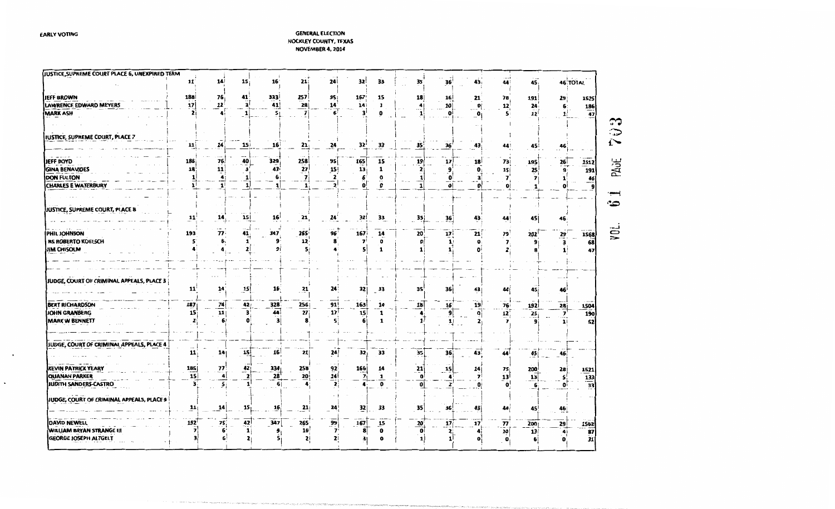### **GENERAL ELECTION HOCKLEY COUNTY, TEXAS** NOVEMBER 4, 2014

| JUSTICE, SUPREME COURT PLACE 6, UNEXPIRED TERM |               |                |                 |                      |                 |                 |                                                        |                                         |                        |                 |              |                         |                 |              |                                           |              |
|------------------------------------------------|---------------|----------------|-----------------|----------------------|-----------------|-----------------|--------------------------------------------------------|-----------------------------------------|------------------------|-----------------|--------------|-------------------------|-----------------|--------------|-------------------------------------------|--------------|
|                                                | 11            | 14             | 15;             | 16                   | 21:             | 24              | 32                                                     | 33                                      | 35                     | 36'             | 43,          | 44                      | 45              | 46 TOTAL     |                                           |              |
| <b>JEFF BROWN</b>                              | 188           | 76             | 41              | 333                  | 257             | 9S:             | 167                                                    | 15                                      | 18                     | 16              | 21           | 78                      | 191             | 29           | 1525                                      |              |
| LAWRENCE EDWARD MEYERS                         | 17            | 12             | ä               | 41                   | 28              | 14              | 14                                                     | 1                                       | $\mathbf{A}^{\dagger}$ | <b>10</b>       | $\mathbf{0}$ | 12                      | 24              | 6:           | 186                                       |              |
| <b>MARK ASH</b>                                |               |                | 1               | 5 <sub>1</sub>       |                 |                 | 3                                                      | n                                       | 1                      | o               | 0            |                         | 12              | 1            | $\overline{47}$                           |              |
|                                                |               |                |                 |                      |                 |                 |                                                        |                                         |                        |                 |              |                         |                 |              |                                           | ా            |
|                                                |               |                |                 |                      |                 |                 |                                                        |                                         |                        |                 |              |                         |                 |              |                                           | $\mathbf{r}$ |
| JUSTICE, SUPREME COURT, PLACE 7                |               |                |                 |                      |                 |                 |                                                        |                                         |                        |                 |              |                         |                 |              |                                           |              |
|                                                | $\mathbf{11}$ | 14             | 15              | 16 <sup>1</sup>      | $^{21}$         | 24              | $32^{\circ}$                                           | 33                                      | 35 <sup>3</sup>        | 36              | 43           |                         | 45              | 46           |                                           | í`           |
|                                                |               |                |                 |                      |                 |                 |                                                        |                                         |                        |                 |              |                         |                 |              |                                           |              |
| JEFF BOYD                                      | 186           | 76             | 40              | 329                  | 258             | 95              | 165                                                    | 15                                      | $\mathbf{19}$          | 17              | 18           | 73                      | 195             |              | 1512                                      | PAGE         |
| <b>GINA BENAVIDES</b>                          | 18            | 11             | 3               | 43                   | 27              | 15              | 13                                                     | 1                                       | 2                      | q               | 0            | 15 <sub>l</sub>         | 25              | $rac{26}{9}$ | 191                                       |              |
| <b>DON FULTON</b>                              |               | 4              |                 |                      |                 | 2               |                                                        | 0                                       |                        | o               | 3            |                         |                 |              |                                           |              |
| <b>CHARLES E WATERBURY</b>                     |               | $\mathbf{1}$   |                 | 1 <sup>1</sup>       |                 | $\overline{2}$  |                                                        | $\mathbf{o}$                            | $\frac{1}{1}$          | $\mathbf{0}$    | o۱           |                         |                 |              | $\frac{46}{9}$                            |              |
|                                                |               |                |                 |                      |                 |                 |                                                        |                                         |                        |                 |              |                         |                 |              |                                           |              |
|                                                |               |                |                 |                      |                 |                 |                                                        |                                         |                        |                 |              |                         |                 |              |                                           | $\bullet$    |
| JUSTICE, SUPREME COURT, PLACE 8                |               |                |                 |                      |                 |                 |                                                        |                                         |                        |                 |              |                         |                 |              |                                           |              |
|                                                | 11            | 14             | 15              | 16 <sup>1</sup>      | 21,             | 24 <sup>2</sup> | 32                                                     | 33                                      | 35                     | 36              | 43           | 44!                     | 45              | 46           |                                           |              |
|                                                |               |                |                 |                      |                 |                 |                                                        |                                         |                        |                 |              |                         |                 |              |                                           |              |
| PHIL JOHNSON                                   | 193           | 77             | 41              | 347                  | 265             | 96              | 167                                                    | 14                                      | 20                     | $\overline{11}$ | 21           | 79                      | 202             | 29           |                                           | yni.         |
| <b>RS ROBERTO KOELSCH</b>                      |               |                |                 |                      | 12              |                 | $\overline{\mathbf{z}}$                                | ۰                                       | $\mathbf{0}$           | 1               | Ω            | $\overline{\mathbf{z}}$ |                 | 3            | $\begin{array}{r} 1568 \\ 68 \end{array}$ |              |
| JIM CHISOLM                                    |               |                |                 | 9                    |                 |                 |                                                        | 1                                       | 1                      |                 | o            |                         |                 |              | 47                                        |              |
|                                                |               |                |                 |                      |                 |                 |                                                        |                                         |                        |                 |              |                         |                 |              |                                           |              |
|                                                |               |                |                 |                      |                 |                 |                                                        |                                         |                        |                 |              |                         |                 |              |                                           |              |
|                                                |               |                |                 |                      |                 |                 |                                                        |                                         |                        |                 |              |                         |                 |              |                                           |              |
| JUDGE, COURT OF CRIMINAL APPEALS, PLACE 3      |               |                |                 |                      |                 |                 |                                                        |                                         |                        |                 |              |                         |                 |              |                                           |              |
|                                                | 11            | 14             | $\overline{15}$ | 16 <sup>2</sup>      | 21              | 24              | 32                                                     | 33                                      | 35                     | 36 j            | 43           | 44                      | 45              | 46           |                                           |              |
|                                                |               |                |                 |                      |                 |                 |                                                        |                                         |                        |                 |              |                         |                 |              |                                           |              |
| <b>BERT RICHARDSON</b>                         | 187           | $\frac{74}{1}$ | 42              | 328                  | 256             | 91              | $\begin{array}{c}\n 163 \\  \hline\n 15\n \end{array}$ | 14                                      | 18                     | 16 <sup>1</sup> | 19           | 76                      | <b>192</b>      | 28 j         | 1504                                      |              |
| JOHN GRANBERG                                  | 15            | 11             | з               | 44                   | 27              | 17 <sup>1</sup> |                                                        | $\mathbf{1}$                            | $\Delta$               | 9               | $\mathbf{0}$ | 12)                     | 25              | 7            | 190                                       |              |
| <b>MARK W BENNETT</b>                          |               | 6              |                 | з                    |                 | S.              | 61                                                     | 1                                       | $\mathbf{1}$           |                 | 2            | $\overline{\mathbf{z}}$ |                 |              | 52                                        |              |
|                                                |               |                |                 |                      |                 |                 |                                                        |                                         |                        |                 |              |                         |                 |              |                                           |              |
|                                                |               |                |                 |                      |                 |                 |                                                        |                                         |                        |                 |              |                         |                 |              |                                           |              |
| JUDGE, COURT OF CRIMINAL APPEALS, PLACE 4      |               |                |                 |                      |                 |                 |                                                        |                                         |                        |                 |              |                         |                 |              |                                           |              |
|                                                | 11            | 14             | 15              | 16 <sup>1</sup>      | 21              | 24              | 32i                                                    | 33                                      | 35                     | 36              | 43           | 44                      | $\frac{45}{2}$  | 46           |                                           |              |
|                                                |               |                |                 |                      |                 |                 |                                                        |                                         |                        |                 |              |                         |                 |              |                                           |              |
| <b>KEVIN PATRICK YEARY</b>                     | 185<br>15     | 77             | 42)             | 334                  | 258             | 92              | 166<br>7                                               | 14                                      | $\frac{21}{0}$         | 15              | 14<br>7      | 75                      | 200             | 28           | 1521                                      |              |
| <b>QUANAH PARKER</b>                           | 3             | 4              | $\mathbf{z}$    | 28<br>6 <sup>1</sup> | <u>20:</u>      | 14              | 4.                                                     | $\mathbf{1}$<br>$\overline{\mathbf{0}}$ |                        | 4               |              |                         | 13              | 5            | $\frac{133}{33}$                          |              |
| IUDITH SANDERS-CASTRO                          |               |                |                 |                      |                 |                 |                                                        |                                         | $\pmb{\mathsf{o}}$     |                 |              |                         |                 | $\mathbf{o}$ |                                           |              |
| JUDGE, COURT OF CRIMINAL APPEALS, PLACE 9      |               |                |                 |                      |                 |                 |                                                        |                                         |                        |                 |              |                         |                 |              |                                           |              |
|                                                | 11            | 14             | 15 <sub>1</sub> | 16                   | 21              | 24              | 32                                                     | 33                                      | 35                     | 36              | 43           | 44                      | 45              |              |                                           |              |
|                                                |               |                |                 |                      |                 |                 |                                                        |                                         |                        |                 |              |                         |                 | 46           |                                           |              |
| DAVID NEWELL                                   | 192           | 75             | 42ļ             | $\overline{.}347$    | 265             | 99              | 167                                                    | $\overline{15}$                         |                        | $\overline{17}$ | 17           | 77                      | 200             | 29           |                                           |              |
| WILLIAM BRYAN STRANGE III                      |               |                | $\mathbf{1}$    | 9                    | 16 <sup>1</sup> | 7               | 8                                                      | 0                                       | $\frac{20}{0}$         | 2:              | 4            | 10                      | 13 <sup>1</sup> | 4            | 1562                                      |              |
| <b>GEORGE JOSEPH ALTGELT</b>                   |               |                | 2 <sub>1</sub>  | 5                    | 2               | 2               | з                                                      | $\Omega$                                | $\mathbf{1}$           | 1               | $\mathbf{0}$ | o                       |                 |              | $\frac{87}{31}$                           |              |
|                                                |               |                |                 |                      |                 |                 |                                                        |                                         |                        |                 |              |                         |                 |              |                                           |              |

heating completed the red and her unit religious response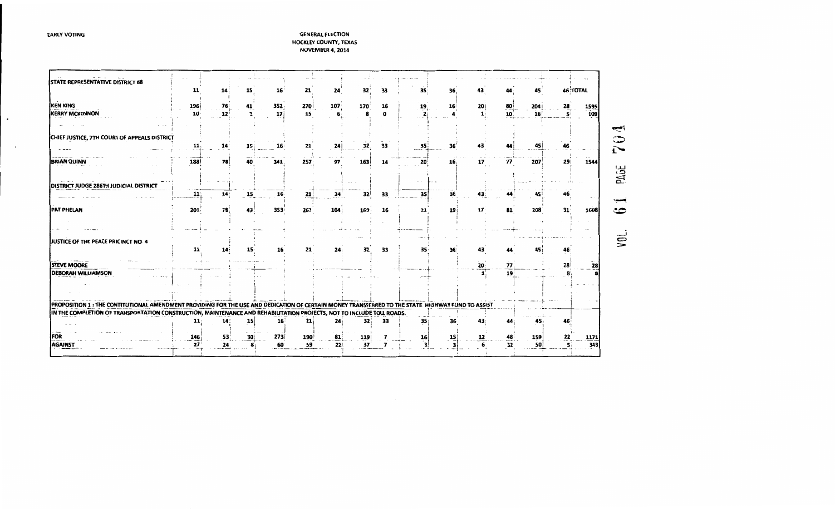$\bullet$ 

 $\sim$ 

| STATE REPRESENTATIVE DISTRICT 88                                                                                                                   |           |          |    |                         |           |           |           |    |         |         |      |                       |           |                 |                    |                          |
|----------------------------------------------------------------------------------------------------------------------------------------------------|-----------|----------|----|-------------------------|-----------|-----------|-----------|----|---------|---------|------|-----------------------|-----------|-----------------|--------------------|--------------------------|
|                                                                                                                                                    | 11        | 14       | 15 | 16                      | 21        | 24        | 32        | 33 | 35      | 36      | 43   |                       |           |                 | <b>46 TOTAL</b>    |                          |
|                                                                                                                                                    |           |          |    |                         |           |           |           |    |         |         |      |                       |           |                 |                    |                          |
| KEN KING<br><b>KERRY MCKENNON</b>                                                                                                                  | 196<br>10 | 76<br>12 | 41 | 352:<br>17 <sup>1</sup> | 270<br>15 | 107       | 170       | 16 | 19      | 16      | 20 j | 80<br>10 <sub>1</sub> | 204<br>16 | 28<br>s:        | 1595<br>109        |                          |
|                                                                                                                                                    |           |          |    |                         |           |           |           |    |         |         |      |                       |           |                 |                    |                          |
|                                                                                                                                                    |           |          |    |                         |           |           |           |    |         |         |      |                       |           |                 |                    |                          |
| CHIEF JUSTICE, 7TH COURT OF APPEALS DISTRICT                                                                                                       |           |          |    |                         |           |           |           |    |         |         |      |                       |           |                 |                    |                          |
|                                                                                                                                                    | 11        | 14       | 15 |                         | 21        | 24        | 32        | 33 | 35      | 36      |      |                       | 45        |                 |                    |                          |
|                                                                                                                                                    |           |          |    |                         |           |           |           |    |         |         |      |                       |           |                 |                    |                          |
| <b>BRIAN QUINN</b>                                                                                                                                 | 188       | 78       |    | 341                     | 257       | 97        | 163       | 14 | 20      | 16.     | 17   | 77                    | 207       | 29              | 1544               |                          |
|                                                                                                                                                    |           |          |    |                         |           |           |           |    |         |         |      |                       |           |                 |                    | PAGE                     |
|                                                                                                                                                    |           |          |    |                         |           |           |           |    |         |         |      |                       |           |                 |                    |                          |
| DISTRICT JUDGE 286TH JUDICIAL DISTRICT                                                                                                             |           |          |    |                         |           |           |           |    |         |         |      |                       |           |                 |                    |                          |
|                                                                                                                                                    | 11        | 14:      | 15 | 16                      | 21        | 24        | 32        | 33 | 35 l    | 36      | 43.  |                       |           |                 |                    |                          |
|                                                                                                                                                    |           |          |    |                         |           |           |           |    |         |         |      |                       |           |                 |                    |                          |
| <b>PAT PHELAN</b>                                                                                                                                  | 201       | 78       | 43 | 353                     | 267       | 104       | 169       | 16 | 21      | 19      | 17   | 81                    | 208       | 31 <sup>1</sup> | 1608               |                          |
|                                                                                                                                                    |           |          |    |                         |           |           |           |    |         |         |      |                       |           |                 |                    |                          |
|                                                                                                                                                    |           |          |    |                         |           |           |           |    |         |         |      |                       |           |                 |                    |                          |
| JUSTICE OF THE PEACE PRICINCT NO. 4                                                                                                                |           |          |    |                         |           |           |           |    |         |         |      |                       |           |                 |                    | $\widetilde{\mathsf{S}}$ |
|                                                                                                                                                    |           | 14       |    |                         | 21        |           | 32        | 33 | 35      | 36      | 43   |                       |           |                 |                    |                          |
|                                                                                                                                                    |           |          |    |                         |           |           |           |    |         |         |      |                       |           |                 |                    |                          |
| <b>STEVE MOORE</b>                                                                                                                                 |           |          |    |                         |           |           |           |    |         |         | 20   | 77.                   |           | 28              | 28                 |                          |
| <b>DEBORAH WILLIAMSON</b>                                                                                                                          |           |          |    |                         |           |           |           |    |         |         |      | 19 <sup>1</sup>       |           |                 |                    |                          |
|                                                                                                                                                    |           |          |    |                         |           |           |           |    |         |         |      |                       |           |                 |                    |                          |
|                                                                                                                                                    |           |          |    |                         |           |           |           |    |         |         |      |                       |           |                 |                    |                          |
|                                                                                                                                                    |           |          |    |                         |           |           |           |    |         |         |      |                       |           |                 |                    |                          |
| PROPOSITION 1 : THE CONTITUTIONAL AMENDMENT PROVIDING FOR THE USE AND DEDICATION OF CERTAIN MONEY TRANSFERRED TO THE STATE  HIGHWAY FUND TO ASSIST |           |          |    |                         |           |           |           |    |         |         |      |                       |           |                 |                    |                          |
| IN THE COMPLETION OF TRANSPORTATION CONSTRUCTION, MAINTENANCE AND REHABILITATION PROJECTS, NOT TO INCLUDE TOLL ROADS.                              |           |          |    |                         |           |           |           |    |         |         |      |                       |           |                 |                    |                          |
|                                                                                                                                                    | 11        | 14       | 15 | 16 <sup>2</sup>         | 21        | 24        | 32        | 33 | 35      |         |      |                       |           |                 |                    |                          |
|                                                                                                                                                    |           |          |    |                         |           |           |           |    |         |         |      |                       |           |                 |                    |                          |
| FOR                                                                                                                                                | 146       | 53<br>24 | 30 | 273<br>60               | 190<br>59 | 81<br>22! | 119<br>37 |    | 16<br>з | 15<br>з | 12   | 32                    | 159<br>50 | 22<br>S.        | <u>1171</u><br>343 |                          |
| AGAINST                                                                                                                                            | 27        |          |    |                         |           |           |           |    |         |         |      |                       |           |                 |                    |                          |
|                                                                                                                                                    |           |          |    |                         |           |           |           |    |         |         |      |                       |           |                 |                    |                          |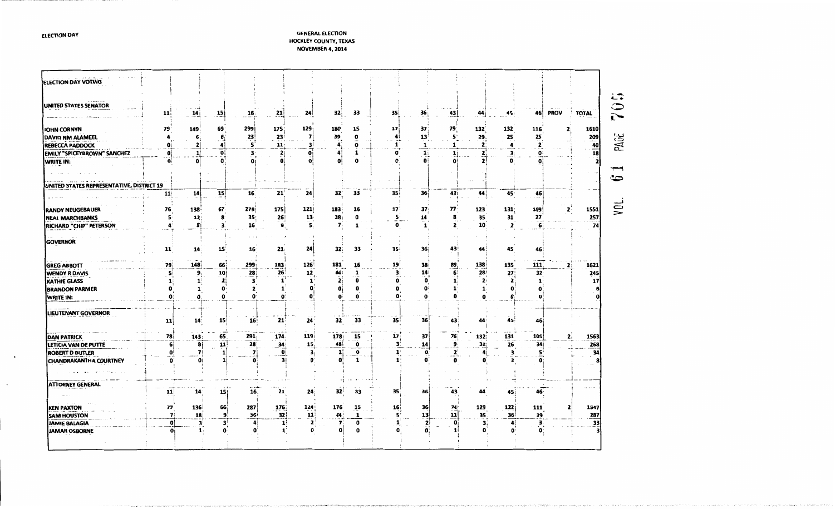| <b>ELECTION DAY VOTING</b>                |              |                |                 |                 |                    |                 |                              |                              |                         |                 |                                  |                 |                      |                          |             |                 |
|-------------------------------------------|--------------|----------------|-----------------|-----------------|--------------------|-----------------|------------------------------|------------------------------|-------------------------|-----------------|----------------------------------|-----------------|----------------------|--------------------------|-------------|-----------------|
|                                           |              |                |                 |                 |                    |                 |                              |                              |                         |                 |                                  |                 |                      |                          |             |                 |
| UNITED STATES SENATOR                     | 11           | $\frac{14}{1}$ | 15              | 16              | 21                 | 24              | 32.                          | 33                           | 35                      | 36              | $^{43}$                          | 44              | 45                   | 461                      | <b>PROV</b> | <b>TOTAL</b>    |
| JOHN CORNYN                               | 79           | 149            | 69              | 299             | 175                | 129             | 180                          | 15                           | 17                      | 37              | 79                               | 132             | 132                  | 116                      |             | 1610            |
| DAVID NM ALAMEEL                          |              | 6              | 6               | 23              | 23                 | 7               | 39                           | 0                            |                         | 13              | 5'                               | 29              | 25                   | 25                       |             | 209             |
| <b>REBECCA PADDOCK</b>                    | $\mathbf{0}$ | 2              | 4               | ς               | 11:                | 3               |                              | 0                            | 1                       | 1               |                                  | $\mathbf{z}$    | 4                    | $\overline{\phantom{a}}$ |             |                 |
| EMILY "SPICEYBROWN" SANCHEZ               | $\mathbf{0}$ | 1!             | $\mathbf o$     | з               | 2 <sub>i</sub>     | 0i              | 4                            | 1                            | o                       | $\mathbf{1}$    | 1                                | 2               | 3 <sub>i</sub>       | $\mathbf{0}$             |             | $\frac{40}{18}$ |
| <b>WRITE IN:</b>                          | O            | 0              |                 | o               | 0                  | Ω               | O                            | $\mathbf 0$                  |                         | $\mathbf{0}$    | Ω                                |                 | $\mathbf{o}$         | $\mathbf{0}$             |             |                 |
|                                           |              |                |                 |                 |                    |                 |                              |                              |                         |                 |                                  |                 |                      |                          |             |                 |
|                                           |              |                |                 |                 |                    |                 |                              |                              |                         |                 |                                  |                 |                      |                          |             |                 |
| UNITED STATES REPRESENTATIVE, DISTRICT 19 |              |                |                 |                 |                    |                 |                              |                              |                         |                 |                                  |                 |                      |                          |             |                 |
|                                           | 11           | 14             | 15              | 16 <sup>2</sup> | $21^{\circ}$       | 24              | 32                           | 33                           | 35 <sub>1</sub>         | 36 <sup>1</sup> | 43                               | 44              | 45                   | 46                       |             |                 |
|                                           |              |                |                 |                 |                    |                 |                              |                              |                         |                 |                                  |                 |                      |                          |             |                 |
| <b>RANDY NEUGEBAUER</b>                   | 76           | 138            | 67              | 279             | 175                | 121             | 183                          | 16                           | 17                      | 37              | 77                               | 123             | 131                  | 109                      |             | 1551            |
| <b>NEAL MARCHBANKS</b>                    | 5            | 12             |                 | 35 <sub>1</sub> | 26                 | 13 <sub>1</sub> | 38 <sub>i</sub>              | a                            | 5 <sub>1</sub>          | 14              | 8                                | 35              | 31                   | 27                       |             | 257             |
| RICHARD "CHIP" PETERSON                   | å            | 8i             |                 | 16              | 9.                 | 5.              | $\overline{\mathbf{z}}$      | 1                            | $\mathbf{0}$            |                 | 2                                | 10              | 2                    | 61                       |             | 74              |
|                                           |              |                |                 |                 |                    |                 |                              |                              |                         |                 |                                  |                 |                      |                          |             |                 |
| <b>GOVERNOR</b>                           |              |                |                 |                 | 21                 | 24              | 32                           | 33                           | 35                      | 36 i            | 43                               | 44              | 45                   | 46                       |             |                 |
|                                           | 11           | 14             | 15              | 16              |                    |                 |                              |                              |                         |                 |                                  |                 |                      |                          |             |                 |
| <b>GREG ABBOTT</b>                        | 79           | 148            | 66              | 299             | 183                | 126             | 181                          | 16                           | 19                      | <b>38</b>       | 80                               | 138             |                      | 111                      |             | 1621            |
| <b>WENDY R DAVIS</b>                      | S)           | 9 <sub>1</sub> | 10              | 28              | 26                 | 12              | 44                           |                              | з                       | 14              | 6                                | 28              | $\frac{135}{27}$     | 32                       |             | 245             |
| KATHIE GLASS                              |              | $\mathbf{1}$   | 2               | 3               | 1                  | 1               | $\mathbf{z}$                 | 0                            | 0:                      | o               |                                  | 2               | $\mathbf{2}$         | 1                        |             | 17              |
| <b>BRANDON PARMER</b>                     | 0            | $\mathbf{1}$   |                 |                 | 1                  | 0               | 0                            | 0                            | 0                       |                 |                                  | 1               | 0                    | o                        |             |                 |
| WRITE IN:                                 | 0            | $\mathbf{0}$   |                 |                 | $\mathbf 0$        | 0               | ŋ                            | 0                            | o                       |                 |                                  |                 | 0                    | n                        |             |                 |
|                                           |              |                |                 |                 |                    |                 |                              |                              |                         |                 |                                  |                 |                      |                          |             |                 |
| LIEUTENANT GOVERNOR                       |              |                |                 |                 |                    |                 |                              |                              |                         |                 |                                  |                 |                      |                          |             |                 |
|                                           | 11           | 14             | 15 <sup>1</sup> | 16 <sub>1</sub> | 21                 | 24 <sup>°</sup> | 32                           | 33                           | 35                      | 36              | 43                               | 44              | 45.                  | 46                       |             |                 |
|                                           |              |                |                 |                 |                    |                 |                              |                              |                         |                 |                                  |                 |                      |                          |             |                 |
| <b>DAN PATRICK</b>                        | 78           | 143            | 65              | 291             | 174                | <b>119</b>      | <b>178</b>                   | 15                           | 17 <sup>3</sup>         | 37              | 76                               | 132;            | 131                  | 105                      |             | 1563            |
| LETICIA VAN DE PUTTE                      | $6 \mid$     | -8i            | 11              | 28              | 34 <sub>3</sub>    | 15              | 48 i                         | $\mathbf 0$                  | З.                      | 14              | э                                | 32 <sub>i</sub> | 26                   | 34                       |             | 268             |
| <b>ROBERT D BUTLER</b>                    | 0<br>ŋ       | 7 <sup>1</sup> |                 | 7<br>ω          | $\mathbf{Q}$<br>31 | з,<br>O         | $\mathbf{1}$<br>$\mathbf{0}$ | $\overline{\mathbf{0}}$<br>1 | $\mathbf{1}$<br>٠.<br>1 | 0               | $\mathbf{2}^{\mathsf{t}}$ .<br>0 | 4<br>0          | з                    | 5<br>$\mathbf{o}$        |             | 34              |
| CHANDRAKANTHA COURTNEY                    |              | Oi             |                 |                 |                    |                 |                              |                              |                         |                 |                                  |                 | 2                    |                          |             |                 |
|                                           |              |                |                 |                 |                    |                 |                              |                              |                         |                 |                                  |                 |                      |                          |             |                 |
| <b>ATTORNEY GENERAL</b>                   |              |                |                 |                 |                    |                 |                              |                              |                         |                 |                                  |                 |                      |                          |             |                 |
|                                           | 11           | 14             | 15              | 16.             | 21                 | 24 <sub>1</sub> | 32                           | 33                           | 35.                     | 36              | 43                               | 44              | 45                   | 46.                      |             |                 |
|                                           |              |                |                 |                 |                    |                 |                              |                              |                         |                 |                                  |                 |                      |                          |             |                 |
| <b>KEN PAXTON</b>                         | 77           | 136            | 66              | 287             | 176                | 124             | 176                          | $\overline{15}$              | 16 <sub>1</sub>         | 36              | 74                               | 129             | 122                  | 111                      |             | 1547            |
| <b>SAM HOUSTON</b>                        | 7:           | 18             | 9               | 36              | 32                 | 11              | 44                           | 1                            | s'                      | 13              | 11                               | 35              | 36 <sup>1</sup>      | 29                       |             | 287             |
|                                           | $\mathbf{0}$ | 3              | 3               |                 | 1                  | 2               | 7                            | o                            |                         | 2ì              |                                  | з,              | $\blacktriangleleft$ | з                        |             | 33              |
| JAMIE BALAGIA                             |              |                |                 |                 |                    |                 |                              |                              |                         |                 |                                  |                 |                      |                          |             |                 |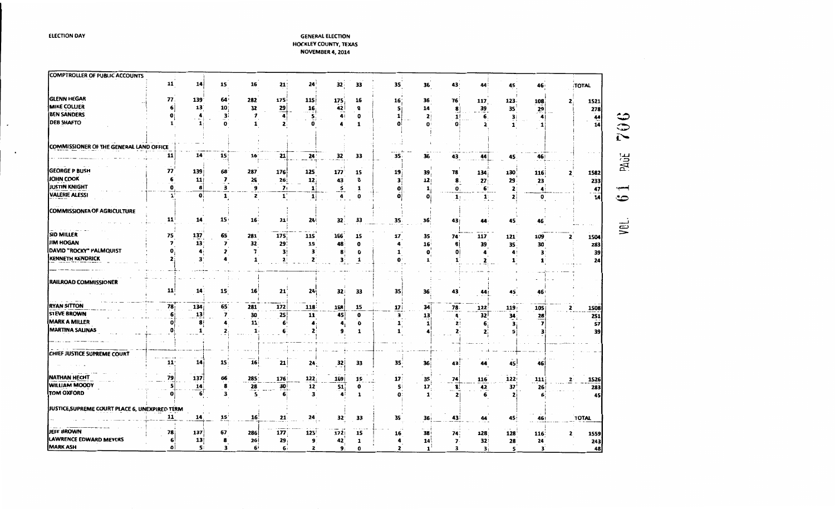| <b>COMPTROLLER OF PUBLIC ACCOUNTS</b>          |              |                 |                         |                          |                       |                                          |                 |             |                 |                 |                         |                                          |                      |              |                      |                                                           |
|------------------------------------------------|--------------|-----------------|-------------------------|--------------------------|-----------------------|------------------------------------------|-----------------|-------------|-----------------|-----------------|-------------------------|------------------------------------------|----------------------|--------------|----------------------|-----------------------------------------------------------|
|                                                | 11           | 14              | 15                      | 16                       | 21:                   | 24                                       | 32              | 33          | 35              | 36              | 43:                     | 44                                       | 45                   | 46           | TOTAL                |                                                           |
| <b>GLENN HEGAR</b>                             | 77           | 139             | 64                      | 282                      | 175i                  | 115                                      | 175             | 16          | 16              | 36              | 76                      | 117                                      | 123                  | 108          | 1521                 |                                                           |
| <b>MIKE COLLIER</b>                            | 6            | 13              | 10 <sub>3</sub>         | 32                       | $\overline{29}$       |                                          | 42              | $\mathbf 0$ | 5               | 14              | 8                       |                                          | 35 <sup>2</sup>      | 29           |                      | 278                                                       |
| <b>BEN SANDERS</b>                             | o            |                 | з۱                      | $\overline{\mathbf{z}}$  | $\overline{4}$        | $\begin{array}{c}\n16 \\ 5\n\end{array}$ | 41              | 0           | 1               | $\mathbf{2}$    | 11                      | 39<br>6.                                 | 31                   | 4            |                      |                                                           |
| <b>DEB SHAFTO</b>                              | 1            | 1               | 0                       | 1                        | $\mathbf{2}$          | Ω                                        |                 | 1           |                 |                 | o۱                      | 2                                        | 1                    |              |                      | $\frac{44}{14}$<br>$\mathbb Q$                            |
| <b>COMMISSIONER OF THE GENERAL LAND OFFICE</b> |              |                 |                         |                          |                       |                                          |                 |             |                 |                 |                         |                                          |                      |              |                      | $\tilde{\mathbf{t}}$                                      |
|                                                | 11           | 14 <sup>°</sup> | 15                      | 16 <sup>1</sup>          | 21                    | 24                                       | 32              | 33          | 35              | 36              | 43.                     | 44                                       | 45                   | 46           |                      | PAGE                                                      |
| <b>GEORGE P BUSH</b>                           | 77           | 139             | 68                      | 287                      | 176                   | 125                                      | 177             | 15          | 19              | 39.             | 78                      | 134                                      | 130                  | <b>116</b>   | 1582                 |                                                           |
| JOHN COOK                                      | 6            | 11              | 7                       | ${\bf 26}$               | 26                    | 12                                       | 43              | O           | 3               | 12              | 8.                      | 27                                       | 29                   | 23           |                      | 233                                                       |
| <b>JUSTIN KNIGHT</b>                           | 0            | 8               | з                       | 9                        | 71                    | 1                                        | 5               | 1           | O               | 1               | 0,                      |                                          | $\mathbf{z}$         | 4            |                      | $\frac{47}{1}$                                            |
| <b>VALERIE ALESSI</b>                          | $\mathbf{1}$ | O               | 1                       | $\overline{\mathbf{z}}$  | $\mathbf{1}^{\prime}$ | $\mathbf{1}$                             | 4               | 0           |                 | $\mathbf o$     | $\mathbf{1}$            | $\underline{\mathbf{6}}$<br>$\mathbf{1}$ | 21                   | $\mathbf{0}$ |                      | 14<br>∽                                                   |
| COMMISSIONER OF AGRICULTURE                    |              |                 |                         |                          |                       |                                          |                 |             |                 |                 |                         |                                          |                      |              |                      |                                                           |
|                                                | 11           | 14              | 15 <sub>1</sub>         | 16 <sup>2</sup>          | 21                    | 24 <sub>1</sub>                          | 32 <sup>2</sup> | 33          | 35              | 36'             | 43                      | 44                                       | 45                   | 46           |                      |                                                           |
| <b>SID MILLER</b>                              | 75           | 137             | 65                      | 281                      | 175                   | 115                                      | 166             | 15          | 17              | 35              | 74'                     |                                          |                      |              |                      | yet                                                       |
| <b>JIM HOGAN</b>                               |              | 13              | $\overline{\mathbf{z}}$ | 32                       | 29                    | 15                                       | 48              | 0           |                 | 16              | 8                       | 117<br>39                                | 121<br>35            | 109          | 1504<br>2            |                                                           |
| DAVID "ROCKY" PALMQUIST                        |              |                 | 2                       | $\overline{\mathbf{z}}$  | 3!                    | з                                        | 8               | 0           | 1               | 0               | O                       | 4                                        | $\ddot{\phantom{a}}$ | 30<br>3      |                      | 283<br>39                                                 |
| KENNETH KENDRICK                               |              | з               |                         | 1                        | $\mathbf{r}$          | $\mathbf{z}$                             | 3               | 1           |                 |                 | 1                       | 2                                        | $\mathbf{1}$         |              |                      | 24                                                        |
|                                                |              |                 |                         |                          |                       |                                          |                 |             |                 |                 |                         |                                          |                      |              |                      |                                                           |
| <b>RAILROAD COMMISSIONER</b>                   |              |                 |                         |                          |                       |                                          |                 |             |                 |                 |                         |                                          |                      |              |                      |                                                           |
|                                                | 11           | 14              | 15 <sup>°</sup>         | 16                       | 21                    | <b>24</b>                                | 32              | 33          | 35              | 36              | 43                      | 44                                       | 45                   | 46           |                      |                                                           |
| <b>RYAN SITTON</b>                             | 78           | 134             | 65                      | 281                      | 172                   | 118                                      | 168             | 15          | 17 <sup>1</sup> | 34              | 78                      | 122                                      | 119:                 | 105          | 1508<br>$\mathbf{z}$ |                                                           |
| <b>STEVE BROWN</b>                             |              | 13              | $\overline{\mathbf{z}}$ | 30                       | 25                    | 11                                       | 45              | $\mathbf 0$ | з               | 13              | $\blacktriangleleft$    | 32                                       | 34                   | 28           |                      |                                                           |
| <b>MARK A MILLER</b>                           |              | 8               |                         | 11.                      | 6                     | 4                                        | 4,              | 0           | $\mathbf{1}$    | 1               | 2                       | 6                                        | з                    |              |                      | $\begin{array}{r} \n \overline{251} \\  57\n \end{array}$ |
| <b>MARTINA SALINAS</b>                         |              | 1               | 2                       | $\mathbf{1}$             | 6                     | 2                                        | 9               | 1           | 1               |                 | 2                       | $\mathbf{z}$                             | s                    |              |                      | 39                                                        |
|                                                |              |                 |                         |                          |                       |                                          |                 |             |                 |                 |                         |                                          |                      |              |                      |                                                           |
| CHIEF JUSTICE SUPREME COURT                    |              |                 |                         |                          |                       |                                          |                 |             |                 |                 |                         |                                          |                      |              |                      |                                                           |
|                                                | 11           | 14              | 15 <sub>1</sub>         | 16 <sub>i</sub>          | 21                    | 24                                       | 32              | 33          | 35              | 36              | 43                      | 44                                       | 45 !                 | 46           |                      |                                                           |
| <b>NATHAN HECHT</b>                            | 79           | 137             | 66                      | 285                      | 176                   | 122                                      | 169             | 15          | 17              | 35              | 74                      | 116                                      | 122                  | 111          | 1526<br>2            |                                                           |
| <b>WILLIAM MOODY</b>                           |              | 14              | 8                       | 28                       | $\overline{30}$       | 12                                       | 51              | 0           | 5               | 17 <sup>2</sup> | 8                       | 42                                       | 37                   | 26           |                      | 283                                                       |
| TOM OXFORD                                     |              | 6 <sup>1</sup>  | з                       | $\overline{\phantom{a}}$ | 6                     | 3                                        | 4               | 1           | o               | $\mathbf{1}$    | 21                      | 6                                        | 2                    |              |                      | 45                                                        |
| JUSTICE, SUPREME COURT PLACE 6, UNEXPIRED TERM |              |                 |                         |                          |                       |                                          |                 |             |                 |                 |                         |                                          |                      |              |                      |                                                           |
|                                                | 11           | 14              | $15^{1}$                | 16 <sup>1</sup>          | 21                    | 24 <sub>1</sub>                          | 32              | 33          | 35              | 36 i            | 43                      | 44                                       | 45                   | 46           | <b>TOTAL</b>         |                                                           |
| JEFF BROWN                                     | 78           | 137             | 67                      | 286                      | 177                   | 125 <sup>1</sup>                         | 172             | 15          | 16              | 38              | 74                      | 128                                      | 128                  | 116          | 1559<br>2            |                                                           |
| <b>LAWRENCE EDWARD MEYERS</b>                  | 6            | 13              | 8                       | 26                       | 29 <sub>1</sub>       | 9                                        | 42              | 1           |                 | 14              | $\overline{\mathbf{z}}$ | 32                                       | 28                   | 24           |                      | 243                                                       |
| <b>MARK ASH</b>                                | 0            | 51              |                         | 6                        | 6                     | $\overline{\mathbf{z}}$                  | ۰               |             |                 |                 |                         | 3                                        |                      |              |                      | 48                                                        |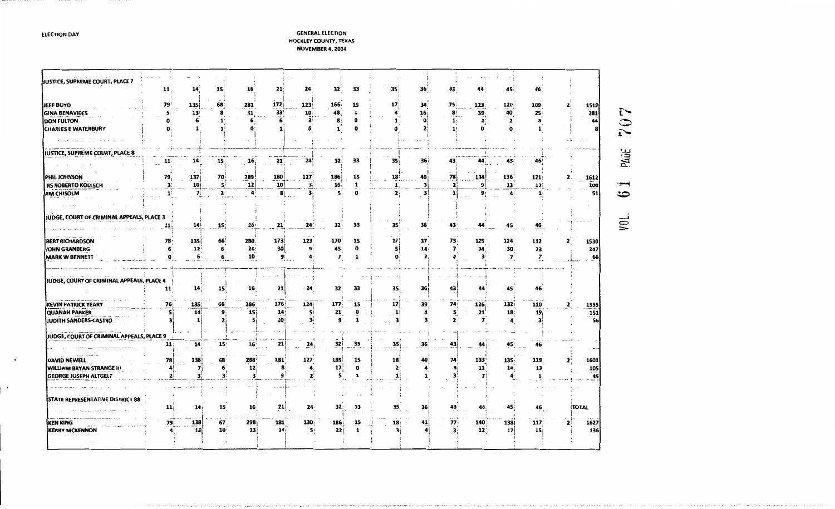### **GENERAL ELECTION HOCKLEY COUNTY, TEXAS NOVEMBER 4, 2014**

| JUSTICE, SUPREME COURT, PLACE 7           | 11             | 14'             | 15              | 16               | 21              | 24              | 32              | 33                 | 35 <sub>1</sub>      | 36                   | 43                      | 44           | 45            | 46.                     |       |
|-------------------------------------------|----------------|-----------------|-----------------|------------------|-----------------|-----------------|-----------------|--------------------|----------------------|----------------------|-------------------------|--------------|---------------|-------------------------|-------|
| <b>JEFF BOYD</b>                          | 79             | 135             | 68              | 281              | 172i            | 123             | 166             | 15                 | 17 <sub>3</sub>      | 34:                  | 75 i                    | 123          | 120           | $109 -$                 | 1519  |
| <b>GINA BENAVIDES</b>                     | 5              | 13              | 8               | 31               | 33'             | 10              | 48              | 1                  | $\ddot{\phantom{a}}$ | 16 <sub>i</sub>      | 8                       | 39           | 40            | 25                      | 281   |
| <b>DON FULTON</b>                         | o              | 6               | 1               | 6                |                 | 3               | 8               | 0                  |                      | $\mathbf{0}$         | 1:                      | $\mathbf{z}$ | 2             | 8                       | 44    |
| <b>CHARLES E WATERBURY</b>                |                |                 |                 | n                |                 | Ω               | ı               |                    |                      | 2                    |                         | O            |               |                         |       |
|                                           |                |                 |                 |                  |                 |                 |                 |                    |                      |                      |                         |              |               |                         |       |
|                                           |                |                 |                 |                  |                 |                 |                 |                    |                      |                      |                         |              |               |                         |       |
| JUSTICE, SUPREME COURT, PLACE 8           |                |                 |                 |                  |                 |                 |                 |                    |                      |                      |                         |              |               |                         |       |
|                                           | 11             | 14.             | 15              | 16,              | 21              | 24              | 32:             | 33                 | 35                   | 36                   | 43                      | 44           | 45            | 46                      |       |
| PHIL JOHNSON                              | 79             | 137             | 70              | 289              | 180             | 127             | 186             | 15                 | 18                   | 40                   | 78                      | 134          | $136^{\circ}$ | 121                     | 1612  |
| RS ROBERTO KOELSCH                        | 31             | 10 <sub>1</sub> | 5               | 12               | 10              | З,              | 16 <sub>i</sub> | 1                  | $\mathbf{1}$         | $\vert$              | 2                       | 9            | 13'           | 12 i                    | 100   |
| <b>JIM CHISOLM</b>                        | $\mathbf{1}$ : | 7 <sub>1</sub>  | 3               | 4                | 8               | 3               | 5               | $\mathbf 0$        | 2                    | 31                   | $\mathbf{1}$            | 9!           | 41            | $\mathbf{1}$            | 51    |
|                                           |                |                 |                 |                  |                 |                 |                 |                    |                      |                      |                         |              |               |                         |       |
| JUDGE, COURT OF CRIMINAL APPEALS, PLACE 3 |                |                 |                 |                  |                 |                 |                 |                    |                      |                      |                         |              |               |                         |       |
|                                           | 11;            | 14              | 15              | 16:              | 21              | 24              | 32!             | 33                 | 35 <sub>1</sub>      | 36 <sup>°</sup>      | 43                      | 44           | 45            | 46.                     |       |
| <b>BERT RICHARDSON</b>                    | 78:            | <b>135</b>      | 66              | 280.             | 173             | 123             | 170             | 15                 | 17                   | 37                   | 73                      | 125          | 124           | 112                     | 1530  |
| JOHN GRANBERG                             | 6              | $12^{\circ}$    | 6.              | 26               | 30 <sup>1</sup> | 9               | 45              | 0                  | 5ļ                   | 14                   | $\overline{\mathbf{z}}$ | 34           | 30            | 23                      | 247   |
| <b>MARK W BENNETT</b>                     | o              | 6               | 6               | 10               | 9               |                 | $\mathbf{z}$    | 1                  | o:                   | $\mathbf{z}$         |                         | 3            | 7             | $\overline{\mathbf{z}}$ | 66    |
|                                           |                |                 |                 |                  |                 |                 |                 |                    |                      |                      |                         |              |               |                         |       |
| JUDGE, COURT OF CRIMINAL APPEALS, PLACE 4 |                |                 |                 |                  |                 |                 |                 |                    |                      |                      |                         |              |               |                         |       |
|                                           | 11             | 14 <sup>1</sup> | 15 <sup>2</sup> | 16               | 21              | 24              | 32              | 33                 | 35                   | 36 i                 | 43                      | 44           | 45:           | 46                      |       |
|                                           |                |                 |                 |                  |                 |                 |                 |                    |                      |                      |                         |              |               |                         |       |
| <b>KEVIN PATRICK YEARY</b>                | 76             | 135             | 66              | 286              | 176             | 124             | 177             | 15                 | 17                   | 39                   | 74                      | 126          | 132           | 110                     | 1555  |
| <b>QUANAH PARKER</b>                      | s              | 14              | 9               | 15               | 14 <sub>1</sub> | Si.             | 21              | 0                  | $\mathbf{1}$         | 4                    | s'                      | 21           | 18:           | 19                      | 151   |
| <b>JUDITH SANDERS-CASTRO</b>              | з              | 1               | 2               | 5                | 10              | 3:              | 9               | 1                  | 3İ                   | 3                    | 2                       | 7            |               |                         | 56    |
| JUDGE, COURT OF CRIMINAL APPEALS, PLACE 9 |                |                 |                 |                  |                 |                 |                 |                    |                      |                      |                         |              |               |                         |       |
|                                           | 11:            | 14:             | 15 <sup>1</sup> | 16 <sup>1</sup>  | 21              | $\overline{24}$ | 32              | 33                 | 35 <sub>i</sub>      | 36                   | 43 j                    | 44           | 45.           | 46                      |       |
|                                           |                |                 |                 |                  |                 |                 |                 |                    |                      |                      |                         |              |               |                         |       |
| <b>DAVID NEWELL</b>                       | 78             | 138             | 68              | 288              | 181             | 127             | 185             | 15                 | 18                   | 40 <sub>1</sub>      | 74                      | 133          | 135.          | <b>119</b>              | 1601  |
| <b>WILLIAM BRYAN STRANGE III</b>          |                | 7               | 6               | 12               | 8               |                 | 17              | 0                  | 2                    | $\blacktriangleleft$ | 3                       | 11           | 14.           | 13                      | 105   |
| <b>GEORGE JOSEPH ALTGELT</b>              | 2              |                 | з:              | 3                | q               | 2               | 5,              |                    | 1                    | 1                    | з                       | 7            |               | 1                       | 45    |
|                                           |                |                 |                 |                  |                 |                 |                 |                    |                      |                      |                         |              |               |                         |       |
|                                           |                |                 |                 |                  |                 |                 |                 |                    |                      |                      |                         |              |               |                         |       |
| STATE REPRESENTATIVE DISTRICT 88          |                |                 |                 |                  |                 |                 |                 |                    |                      |                      |                         |              |               |                         |       |
|                                           | 11             | 14 <sub>i</sub> | 15              | 16.              | 21              | 24              | 32              | 33                 | 35                   | 36                   | 43                      | 44.          | 45 j          | 46:                     | TOTAL |
|                                           |                |                 | 67              | 298 <sub>i</sub> | <b>181</b>      | 130             | 186 i           |                    | 18 <sub>1</sub>      | 41                   | 77                      | 140          | 138           | 117                     | 1627  |
| <b>KEN KING</b>                           | 79             | 138<br>13       | 10 <sup>1</sup> | 13               | 14:             | S.              | 22              | 15<br>$\mathbf{1}$ |                      |                      |                         | $12^{\circ}$ | 17            | 15i                     | 136   |
| <b>KERRY MCKENNON</b>                     |                |                 |                 |                  |                 |                 |                 |                    |                      |                      |                         |              |               |                         |       |
|                                           |                |                 |                 |                  |                 |                 |                 |                    |                      |                      |                         |              |               |                         |       |

707 PAGE است.  $\ddot{\circ}$ 

you.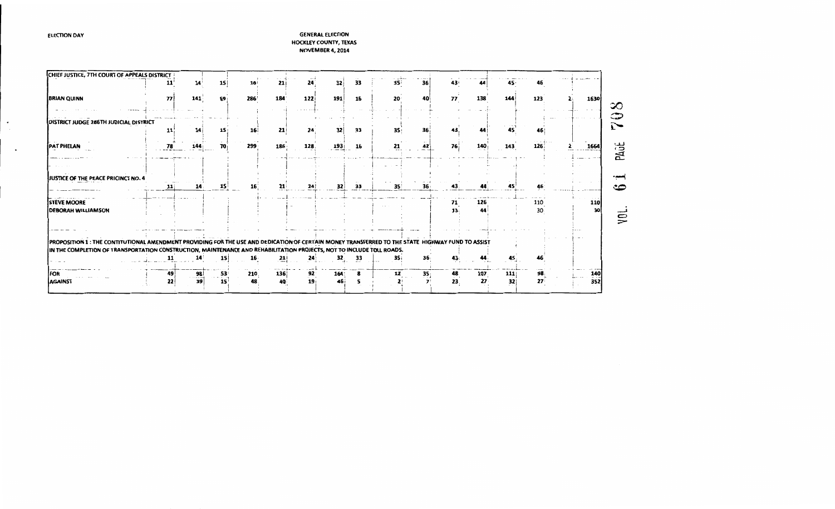$\bullet$  $\sim$ 

 $\overline{\phantom{a}}$ 

| CHIEF JUSTICE, 7TH COURT OF APPEALS DISTRICT                                                                                                     |    |                      |                 |                 |         |                 |     |    |                          |                 |           |           |     |                        |           |                |
|--------------------------------------------------------------------------------------------------------------------------------------------------|----|----------------------|-----------------|-----------------|---------|-----------------|-----|----|--------------------------|-----------------|-----------|-----------|-----|------------------------|-----------|----------------|
|                                                                                                                                                  | 11 | 14                   | 15              | 16 <sup>1</sup> |         | 24              | 32  | 33 | 35                       | 36              | 43        |           | 45  | 46                     |           |                |
| <b>BRIAN QUINN</b>                                                                                                                               | 77 | 141                  | 69:             | 286             | 184     | 122i            | 191 | 16 | 20                       | 40              | 77        | 138       | 144 | 123                    | 1630      | ು೧             |
|                                                                                                                                                  |    |                      |                 |                 |         |                 |     |    |                          |                 |           |           |     |                        |           | ာ              |
| DISTRICT JUDGE 286TH JUDICIAL DISTRICT                                                                                                           | 11 |                      | 15              | 16              | 21      | 24              | 32  | 33 | 35                       | 36              |           |           |     |                        |           |                |
| <b>PAT PHELAN</b>                                                                                                                                | 78 | 144                  | 70 i            | 299             | 186.    | 128             | 193 | 16 | 21                       | 42              | <b>76</b> | 140       | 143 | 126                    | 1664      | PAGE           |
|                                                                                                                                                  |    |                      |                 |                 |         |                 |     |    |                          |                 |           |           |     |                        |           |                |
| JJUSTICE OF THE PEACE PRICINCT NO. 4                                                                                                             | 11 | 14                   | 15              |                 | 21      | 24              | 32  | 33 | 35                       | 36              | 43        |           |     |                        |           | ∽              |
| <b>STEVE MOORE</b><br><b>DEBORAH WILLIAMSON</b>                                                                                                  |    |                      |                 |                 |         |                 |     |    |                          |                 | 71<br>13. | 126<br>44 |     | 110<br>30 <sub>1</sub> | 110<br>30 |                |
|                                                                                                                                                  |    |                      |                 |                 |         |                 |     |    |                          |                 |           |           |     |                        |           | $\mathbf{\Xi}$ |
| PROPOSITION 1: THE CONTITUTIONAL AMENDMENT PROVIDING FOR THE USE AND DEDICATION OF CERTAIN MONEY TRANSFERRED TO THE STATE HIGHWAY FUND TO ASSIST |    |                      |                 |                 |         |                 |     |    |                          |                 |           |           |     |                        |           |                |
| IN THE COMPLETION OF TRANSPORTATION CONSTRUCTION, MAINTENANCE AND REHABILITATION PROJECTS, NOT TO INCLUDE TOLL ROADS.                            | 11 | 14                   | 15 <sup>1</sup> | 16              | 211<br> | 24              | 32  | 33 | 35 i                     | 36 <sub>1</sub> | 43        |           |     |                        |           |                |
| <b>IFOR</b>                                                                                                                                      | 49 | 98<br>. <del>.</del> | 53<br>.         | 210             | 136     | 92              | 164 |    | 12                       | 35 <sub>1</sub> | 48        | 107       | 111 | 98                     | 140       |                |
| AGAINST                                                                                                                                          | 22 | 39                   | $15^{\circ}$    | 48              | 40      | 19 <sub>1</sub> |     |    | $\overline{\phantom{a}}$ |                 | 23.       | $27 -$    | 32  | 27                     | 352       |                |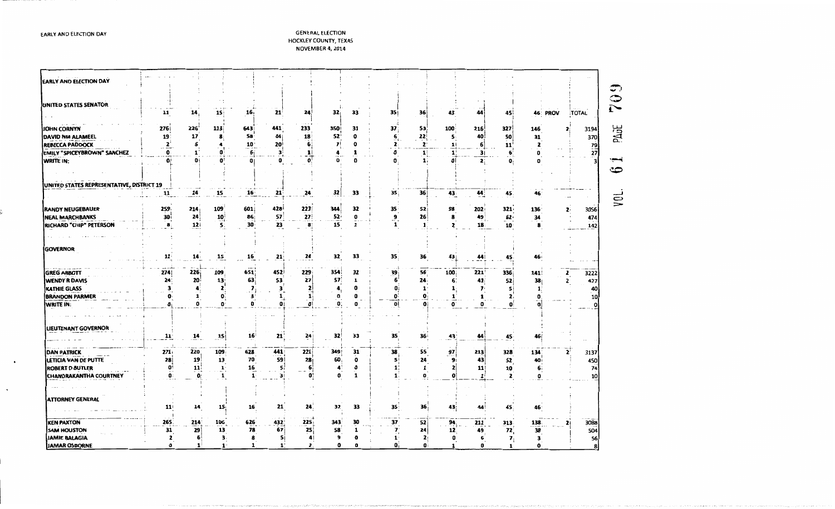EARLY AND ELECTION DAY

| <b>EARLY AND ELECTION DAY</b>             |                 |                |                 |                 |              |                      |                 |             |                 |                 |                 |                |                |              |                 |                   |
|-------------------------------------------|-----------------|----------------|-----------------|-----------------|--------------|----------------------|-----------------|-------------|-----------------|-----------------|-----------------|----------------|----------------|--------------|-----------------|-------------------|
|                                           |                 |                |                 |                 |              |                      |                 |             |                 |                 |                 |                |                |              |                 | ◡.                |
|                                           |                 |                |                 |                 |              |                      |                 |             |                 |                 |                 |                |                |              |                 | ≎                 |
| UNITED STATES SENATOR                     | 11              | 14,            | 15 <sub>1</sub> | 16,             | 21           | 24                   | 32              | 33          | 35 <sub>1</sub> | 36              | 43              | 44             | 45             | 46: PROV     | <b>TOTAL</b>    | P                 |
|                                           |                 |                |                 |                 |              |                      |                 |             |                 |                 |                 |                |                |              |                 |                   |
| <b>JOHN CORNYN</b>                        | 276             | 226            | 113             | 643             | 441          | 233                  | 350             | 31          | 37              | 53              | 100             | 216            | 327            | 146          | 3194<br>2:      | PAGE              |
| DAVID NM ALAMEEL                          | 19              | 17             | 8               | 58              | 44           | 18                   | 52              | $\mathbf o$ | 6               | 22              | 5               | 40             | 50             | 31           | 370             |                   |
| <b>REBECCA PADDOCK</b>                    | $\mathbf{z}$    | 6              | 4               | 10              | 20           | 6,                   | 7               |             | 2.              | $\mathbf{z}$    | 1!              | 6              | 11             | 2            |                 |                   |
| <b>EMILY "SPICEYBROWN" SANCHEZ</b>        | $\mathbf{0}$    |                |                 | 6               |              | $\mathbf{1}$         |                 |             | 0               | $\mathbf{1}$    | 1               | 3 <sub>1</sub> | 6              | 0            | $\frac{79}{27}$ |                   |
| WRITE IN:                                 | O!              | Oi             | o               | 0               | o            | $\mathbf o$          |                 | O           |                 | 1.              | ٥l              | 2:             | O,             | 0            |                 |                   |
|                                           |                 |                |                 |                 |              |                      |                 |             |                 |                 |                 |                |                |              |                 | ಲ                 |
|                                           |                 |                |                 |                 |              |                      |                 |             |                 |                 |                 |                |                |              |                 |                   |
| UNITED STATES REPRESENTATIVE, DISTRICT 19 |                 |                |                 |                 |              |                      |                 |             |                 |                 |                 |                |                |              |                 |                   |
|                                           | 11              | $\frac{14}{1}$ | 15              | 16 <sup>2</sup> | 21           | 24                   | 32              | 33          | 35              | 36              | 43              | 44             | 45.            | 46           |                 |                   |
| <b>RANDY NEUGEBAUER</b>                   | 259             | 214            | 109             | 601             | 428          | 223                  | 344             | 32          | 35              | 52              | 98              | 202            | 321            | 136          | 3056            | $\widetilde{\Xi}$ |
| <b>NEAL MARCHBANKS</b>                    | 30 <sub>1</sub> | 24             | 10              | 86              | 57           | 27                   | 52 <sup>i</sup> | o           | 9               | 26              | 8               | 49             | 62             | 34           | 474             |                   |
| RICHARD "CHIP" PETERSON                   | 8.              | 12             | 5.              | 30              | 23           | 8                    | 15              | 1           | 1               | 1               | 2               | 18             | 10             | 8            | 142             |                   |
|                                           |                 |                |                 |                 |              |                      |                 |             |                 |                 |                 |                |                |              |                 |                   |
|                                           |                 |                |                 |                 |              |                      |                 |             |                 |                 |                 |                |                |              |                 |                   |
| <b>GOVERNOR</b>                           |                 |                |                 |                 |              |                      |                 |             |                 |                 |                 |                |                |              |                 |                   |
|                                           | 11              | 14.            | 15              | 16              | 21           | $24^{\circ}$         | 32              | 33          | 35              | 36              | 43              | 44             | 45             | 46 i         |                 |                   |
|                                           |                 |                |                 |                 |              |                      |                 |             |                 |                 |                 |                |                |              |                 |                   |
| <b>GREG ABBOTT</b>                        | 274             | 226            | 109             | 651             | 452          | 229                  | 354             | 32          | 39              | 56 <sub>1</sub> | 100             | 221            | 336            | 141          | 3222<br>2       |                   |
| <b>WENDY R DAVIS</b>                      | 24              | 20             | 13              | 63              | 53           | 27                   | 57              | 1           | 6               | 24              | 6               | 41             | 52             | 38           | 427<br>2        |                   |
| <b>KATHIE GLASS</b>                       | з               | 4              | 2               | 7               | з            | 2                    |                 | O           | 0               | 1               |                 | 7.             | 51             | $\mathbf{1}$ | 40              |                   |
| <b>BRANDON PARMER</b>                     | 0               | 1              | 0               | з               | 1,           | 1)                   | 0               | 0           | $\mathbf{0}$    | o               | 1               | 1              | 2.             | o            | 10              |                   |
| WRITE IN:                                 | U               | o              | o               | o               | O            | O                    | O.              | 0           | 0Ì              | O               | 0               | 0              | O              | O.           |                 |                   |
|                                           |                 |                |                 |                 |              |                      |                 |             |                 |                 |                 |                |                |              |                 |                   |
| LIEUTENANT GOVERNOR                       |                 |                |                 |                 |              |                      |                 |             |                 |                 |                 |                |                |              |                 |                   |
|                                           | 11 <sup>1</sup> | 14             | _15             | 16 <sup>1</sup> | 21           | 24                   | 32 <sub>2</sub> | 33          | 35              | 36              | $\overline{43}$ | 44             | 45.            | 46           |                 |                   |
|                                           |                 |                |                 |                 |              |                      |                 |             |                 |                 |                 |                |                |              |                 |                   |
| DAN PATRICK                               | 271.            | 220            | 109             | 628             | 441          | 221                  | 349             | 31          | 38              | 55              | 97              | 213            | 328            | 134          | 3137            |                   |
| LETICIA VAN DE PUTTE                      | 28              | 19             | 13              | 70              | 59           | 28                   | 60              | $\mathbf 0$ | $\mathbf{s}$    | 24              | 9               | 43             | 52             | 40           | 450             |                   |
| <b>ROBERT D BUTLER</b>                    | $\mathbf{0}$    | 11             | $\mathbf{1}$    | 16              | 51           | 6                    | 4               | o           |                 | 1               | $\mathbf{z}$    | 11             | 10             | 6.           | 74              |                   |
| <b>CHANDRAKANTHA COURTNEY</b>             | O:              | $\mathbf{O}$   | 1               | 1               | 3İ           | O:                   | 0               | 1           |                 | o               | o               |                | 2              | 0            | 10              |                   |
|                                           |                 |                |                 |                 |              |                      |                 |             |                 |                 |                 |                |                |              |                 |                   |
| <b>ATTORNEY GENERAL</b>                   |                 |                |                 |                 |              |                      |                 |             |                 |                 |                 |                |                |              |                 |                   |
|                                           | 11              | 14             | 15              | 16              | 21           | 24                   | 32              | 33          | 35              | 36              | 43              | 44             | 45             | 46           |                 |                   |
|                                           |                 |                |                 |                 |              |                      |                 |             |                 |                 |                 |                |                |              |                 |                   |
| <b>KEN PAXTON</b>                         | 265             | 214            | 106             | 626             | 432          | 225                  | 343             | 30          | 37              | 52              | 94              | 211            | 313            | 138          | 3088            |                   |
| <b>SAM HOUSTON</b>                        | 31              | 29             | 13              | 78              | 67           | 25                   | 58              |             | 7               | 24              | 12              | 49             | 72             | 38           | 504             |                   |
| <b>JAMIE BALAGIA</b>                      | 2               | 6!             | з.              | 8               | Sί           | $\blacktriangleleft$ | 9               |             | 1               | 2               | 0               | 6              | $\mathbf{z}_i$ | 3            | 56              |                   |
| JAMAR OSBORNE                             | 0               | $\mathbf{1}$   | $\mathbf{1}$    |                 | $\mathbf{1}$ | 2.                   | 0               |             | o               | $\mathbf{0}$    | 1               | 0              | 1              | 0            | я               |                   |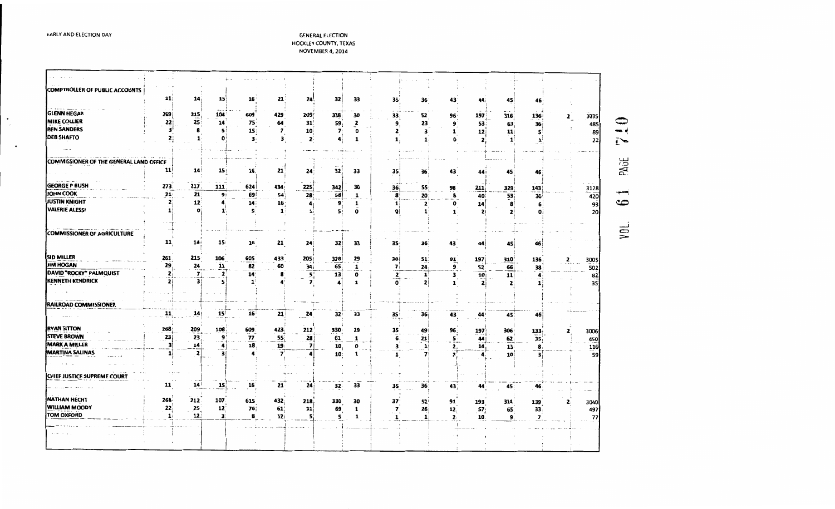$\bullet$  $\sim$ 

 $\bullet$ 

### **GENERAL ELECTION** HOCKLEY COUNTY, TEXAS NOVEMBER 4, 2014

| COMPTROLLER OF PUBLIC ACCOUNTS          |                    |                    |                    |                 |                 |                           |                 |              |              |                                        |                           |                 |                 |              |   |          |
|-----------------------------------------|--------------------|--------------------|--------------------|-----------------|-----------------|---------------------------|-----------------|--------------|--------------|----------------------------------------|---------------------------|-----------------|-----------------|--------------|---|----------|
|                                         | 11                 | 14                 | 15                 | 16 <sup>1</sup> | 21              | 24                        | 32              | 33           | 35           | 36 <sup>°</sup>                        | 43                        | 44              | 45              |              |   |          |
|                                         |                    |                    |                    |                 |                 |                           |                 |              |              |                                        |                           |                 |                 |              |   |          |
| GLENN HEGAR                             | 269                | 215                | 104                | 609             | 429             | 209                       | 338             | 30           | 33           | 52                                     | 96 <sub>1</sub>           | 197             | 316             | 136          | 2 | 3035     |
| <b>MIKE COLLIER</b>                     | 22                 | 25 <sub>1</sub>    | 14                 | 75              | 64              | 31 <sup>1</sup>           | 59              | $\mathbf{z}$ | 9            | 23                                     | 9                         | 53              | 63              | 36           |   | 485      |
| <b>BEN SANDERS</b>                      | 3'                 |                    | 5                  | 15 <sub>1</sub> | 7               | 10                        | $\overline{7}$  | o            | 2            | з                                      | 1                         | 12              | 11              |              |   | 89       |
| <b>DEB SHAFTO</b>                       | 2                  | $\mathbf{1} \cdot$ | O                  | 3               | з               | $\mathbf{z}$              | 4               | 1            | 1,           | $\mathbf{1}$                           | O                         | 2               |                 |              |   | 22       |
|                                         |                    |                    |                    |                 |                 |                           |                 |              |              |                                        |                           |                 |                 |              |   |          |
| COMMISSIONER OF THE GENERAL LAND OFFICE |                    |                    |                    |                 |                 |                           |                 |              |              |                                        |                           |                 |                 |              |   |          |
|                                         | 11                 | 14                 | 15                 | 16.             | 21              | 24                        | 32 <sub>1</sub> | 33           | 35           | 36                                     | 43                        |                 |                 |              |   |          |
|                                         |                    |                    |                    |                 |                 |                           |                 |              |              |                                        |                           | 44              | 45              | 46           |   |          |
| <b>GEORGE P BUSH</b>                    | 273                | 217                | 111                | 624             | 434             | 225                       | 342             | 30           | 36;          | 55                                     | 98                        | 211             | 329             | 143          |   | 3128     |
| IOHN COOK                               | 21:                | 21                 | 9 <sub>i</sub>     | 69!             | 54              | 28                        | 58              | 1            | 8            | 20                                     | 8                         | 40              | 53              | 30           |   | 420      |
| <b>IUSTIN KNIGHT</b>                    | 2                  | 12 <sup>2</sup>    |                    | 14:             | 16 <sub>1</sub> | 4                         | 9               | 1            | 11           | $\mathbf{z}$                           | 0                         | 14              | 8               | 6            |   | 93       |
| <b>VALERIE ALESSI</b>                   | $\mathbf{1}$       | 0                  |                    | 51              | $\mathbf{1}$    | 1:                        | 5í              | 0            |              |                                        | $\mathbf{1}$              | $\mathbf{z}$    |                 |              |   | 20       |
|                                         |                    |                    |                    |                 |                 |                           |                 |              |              |                                        |                           |                 |                 |              |   |          |
|                                         | ۰,                 |                    |                    |                 |                 |                           |                 |              |              |                                        |                           |                 |                 |              |   |          |
| COMMISSIONER OF AGRICULTURE             |                    |                    |                    |                 |                 |                           |                 |              |              |                                        |                           |                 |                 |              |   |          |
|                                         | 11                 | 14 <sub>i</sub>    | 15 <sub>1</sub>    | 16              | 21              | 24                        | 32              | 33           | 35           | 36:                                    | 43                        | 44              | 45              | 46           |   |          |
|                                         |                    |                    |                    |                 |                 |                           |                 |              |              |                                        |                           |                 |                 |              |   |          |
| SID MILLER<br><b>IIM HOGAN</b>          | 261                | 215                | 106                | 605             | 433             | 205                       | 328             | $^{29}$      | 36           | 51                                     | 91                        | 197             | 310             | 136          | 2 | 3005     |
| DAVID "ROCKY" PALMQUIST                 | 29<br>$\mathbf{z}$ | 24<br>7            | 11<br>$\mathbf{z}$ | 82              | 60              | 34 <sub>i</sub>           | 65              | 1            | 7            | 24                                     | 9                         | 52              | 66              | 38           |   | 502      |
| KENNETH KENDRICK                        | $\mathbf{z}$       | 3                  |                    | 14 <sup>3</sup> | 8               | $5^{\prime}_{\downarrow}$ | 13              | 0            | $\mathbf{z}$ | $\mathbf{1}^{\dagger}$<br>$\mathbf{z}$ | 3<br>1                    | 10 <sub>i</sub> | 11              |              |   | 82<br>35 |
|                                         |                    |                    |                    |                 |                 |                           |                 |              |              |                                        |                           | <b>2</b> i      |                 |              |   |          |
|                                         |                    |                    |                    |                 |                 |                           |                 |              |              |                                        |                           |                 |                 |              |   |          |
| RAILROAD COMMISSIONER                   |                    |                    |                    |                 |                 |                           |                 |              |              |                                        |                           |                 |                 |              |   |          |
|                                         | 11                 | 14                 | 15 <sup>1</sup>    | 16 <sup>°</sup> | 21              | 24                        | 32 <sub>1</sub> | 33           | 35           | 36 i                                   | 43                        | 44              | 45              | 46           |   |          |
|                                         |                    |                    |                    |                 |                 |                           |                 |              |              |                                        |                           |                 |                 |              |   |          |
| RYAN SITTON                             | 268                | 209                | 108                | 609             | 423             | 212                       | 330             | 29           | 35           | 49!                                    | 96                        | 197             | 306             | 133          |   | 3006     |
| STEVE BROWN                             | 23                 | 23                 | 9                  | 77              | 55              | 28                        | 61              | 1            | 6.           | 21                                     | $\overline{\mathbf{S}}$ . | 44              | 62              | 35           |   | 450      |
| MARK A MILLER                           | 3                  | 14                 | 4                  | 18.             | 19              | 7                         | 10.             | 0            | з.           | 1 <sub>1</sub>                         | $\mathbf{2}$              | 14              | 13 <sup>2</sup> | 8            |   | 116      |
| <b>MARTINA SALINAS</b>                  | 1i                 | $\mathbf{z}$       |                    |                 | $\overline{ }$  |                           | 10:             | 1            | 1            | 7!                                     |                           |                 | 10              | з            |   | 59       |
|                                         |                    |                    |                    |                 |                 |                           |                 |              |              |                                        |                           |                 |                 |              |   |          |
| CHIEF JUSTICE SUPREME COURT             |                    |                    |                    |                 |                 |                           |                 |              |              |                                        |                           |                 |                 |              |   |          |
|                                         | 11                 | 14 <sup>1</sup>    |                    | 16              |                 |                           |                 | 33           |              |                                        |                           |                 |                 |              |   |          |
|                                         |                    |                    | 15,                |                 | $21 -$          | 24                        | 32              |              | 35           | 36                                     | 43                        | 44              | 45              | 46           |   |          |
| NATHAN HECHT                            | $268 -$            | 212                | 107                | 615             | 432             | 218                       | 330             | 30           | 37           | <b>52</b>                              | 91                        | 193             | 314             | 139          | , | 3040     |
| WILLIAM MOODY                           | 22                 | 25                 | 12                 | 76:             | 61              | 31                        | 69              | $\mathbf{1}$ | $\mathbf{7}$ | 26                                     | 12                        | 57              | 65              | 33.          |   | 497      |
| <b>TOM OXFORD</b>                       | 11                 | 12 <sub>1</sub>    | з.                 | 8               | 12 <sub>1</sub> | 5,                        | 5               | 1            |              |                                        | $\mathbf{2}$              | 10              | 9               | $\mathbf{z}$ |   | 77       |
|                                         |                    |                    |                    |                 |                 |                           |                 |              |              |                                        |                           |                 |                 |              |   |          |
|                                         |                    |                    |                    |                 |                 |                           |                 |              |              |                                        |                           |                 |                 |              |   |          |
|                                         |                    |                    |                    |                 |                 |                           |                 |              |              |                                        |                           |                 |                 |              |   |          |
|                                         |                    |                    |                    |                 |                 |                           |                 |              |              |                                        |                           |                 |                 |              |   |          |

710 PAGE سب.  $\bullet$ 

vou.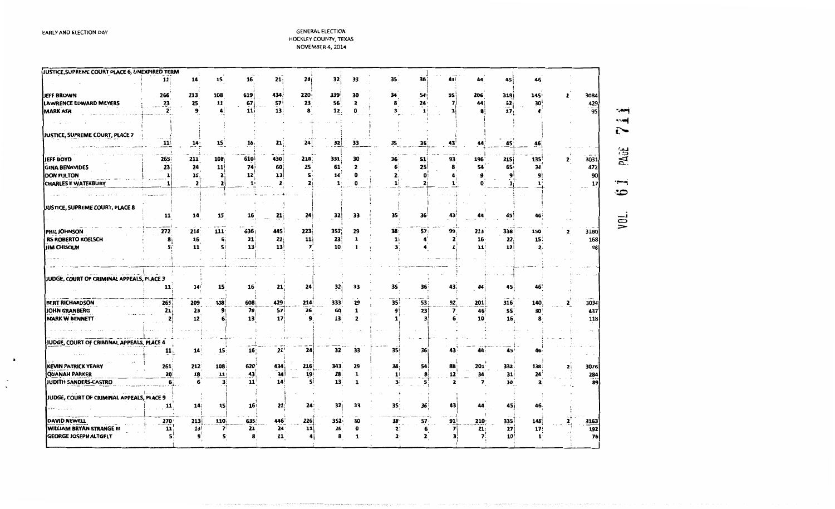| 14<br>15<br>16<br>21:<br>24<br>32<br>33<br>11<br>35<br>36<br>43<br>45<br>44<br>46<br>108<br>619<br>434<br>220<br>339<br>95<br>JEFF BROWN<br>266<br>213<br>30<br>54<br>206<br>319<br>3084<br>34<br>145<br>2<br>$\overline{23}$<br>25<br>57 <sub>5</sub><br>56<br>11<br>23<br>$\mathbf{z}$<br>8<br>429<br>LAWRENCE EDWARD MEYERS<br>67<br>24<br>52<br>7<br>44<br>30<br>95<br>11<br>13<br>12<br>3<br>17<br><b>MARK ASH</b><br>$\mathbf{z}$<br>9<br>0<br>8<br>JUSTICE, SUPREME COURT, PLACE 7<br>24<br>32<br>33<br>35<br>21.<br>36<br>43<br>11<br>$\frac{14}{1}$<br>15<br>16 <sub>i</sub><br>44<br>45<br>46<br>610<br>430<br>331<br>93<br>JEFF BOYD<br>265<br>211<br>108<br>218<br>30<br>196<br>315 <sub>i</sub><br>135<br>3031<br>36<br>51<br>2.<br>74<br><b>GINA BENAVIDES</b><br>23<br>11<br>61<br>25<br>65<br>24<br>60<br>25<br>6<br>472<br>$\overline{\mathbf{z}}$<br>54<br>34<br>8<br>90<br>DON FULTON<br>12<br>13 <sup>1</sup><br>5<br>14<br>10 <sub>i</sub><br>2<br>0<br>2.<br>$\mathbf{1}$<br>o<br>9<br>9<br>9<br>0<br>$\mathbf{z}$<br>1<br>CHARLES E WATERBURY<br>2<br>1 <sub>1</sub><br>17<br>2<br>Ω<br>1<br>15<br>14<br>16<br>21<br>24<br>32<br>33<br>36<br>45<br>11<br>35<br>43<br>44<br>46<br>PHIL JOHNSON<br>272<br>445<br>223<br>353<br>29<br>338<br>214<br>111<br>636<br>38<br>57<br>213<br>3180<br>99<br>150<br>$\mathbf{z}$<br>23<br><b>RS ROBERTO KOELSCH</b><br>16<br>6<br>21<br>22<br>11<br>1<br>$16 -$<br>22<br>168<br>15.<br>1<br>2<br>S١<br>13 <sup>1</sup><br>10 <sub>1</sub><br><b>JIM CHISOLM</b><br>13 <sup>1</sup><br>11<br>12<br>98<br>Si<br>11<br>7<br>1<br>2.<br>JUDGE, COURT OF CRIMINAL APPEALS, PLACE 3<br>14<br>15<br>16<br>21<br>24<br>32<br>33<br>45<br>35<br>43<br>44<br>46<br>11<br>36<br><b>BERT RICHARDSON</b><br>265<br>209<br>108<br>608<br>333<br>35<br>92<br>201<br>3034<br>429<br>214<br>29<br>53<br>316<br>140<br>$\mathbf{z}$<br>JOHN GRANBERG<br>57<br>23<br>70<br>26<br>60<br>23<br>$\overline{\mathbf{z}}$<br>55<br>437<br>21<br>9 <sub>l</sub><br>٩<br>46<br>30<br>13<br><b>MARK W BENNETT</b><br>13<br>2<br>118<br>6<br>17<br>12<br>10<br>16<br>2<br>JUDGE, COURT OF CRIMINAL APPEALS, PLACE 4<br>21'<br>32<br>33<br>15 <sub>3</sub><br>24<br>44<br>45<br>14<br>16<br>35<br>36<br>11,<br>43<br>46<br><b>KEVIN PATRICK YEARY</b><br>212<br>108<br>620<br>216<br>343<br>29<br>54<br>201<br>261<br>434<br>38<br>88<br>332<br>138<br>3076<br>2<br>28<br><b>QUANAH PARKER</b><br>43<br>34<br>20<br>18<br>11<br>1<br>31<br>24<br>284<br>19<br>11<br>8<br>12<br>34<br>JUDITH SANDERS-CASTRO<br>з۱<br>$\overline{\mathbf{z}}$<br>6.<br>6<br>11<br>14<br>5Í<br>13<br>3.<br>89<br>10<br>1<br>3<br>2<br>JUDGE, COURT OF CRIMINAL APPEALS, PLACE 9<br>15<br>32 <sub>i</sub><br>33<br>14<br>16 <sub>1</sub><br>21<br>24:<br>35<br>36<br>43<br>45<br>46<br>11<br>44 | JUSTICE, SUPREME COURT PLACE 6, UNEXPIRED TERM |     |     |     |     |     |      |     |    |    |    |    |     |     |     |      |
|----------------------------------------------------------------------------------------------------------------------------------------------------------------------------------------------------------------------------------------------------------------------------------------------------------------------------------------------------------------------------------------------------------------------------------------------------------------------------------------------------------------------------------------------------------------------------------------------------------------------------------------------------------------------------------------------------------------------------------------------------------------------------------------------------------------------------------------------------------------------------------------------------------------------------------------------------------------------------------------------------------------------------------------------------------------------------------------------------------------------------------------------------------------------------------------------------------------------------------------------------------------------------------------------------------------------------------------------------------------------------------------------------------------------------------------------------------------------------------------------------------------------------------------------------------------------------------------------------------------------------------------------------------------------------------------------------------------------------------------------------------------------------------------------------------------------------------------------------------------------------------------------------------------------------------------------------------------------------------------------------------------------------------------------------------------------------------------------------------------------------------------------------------------------------------------------------------------------------------------------------------------------------------------------------------------------------------------------------------------------------------------------------------------------------------------------------------------------------------------------------------------------------------------------------------------------------------------------------------------------------------------------------------------------------------------------------------------------------------------------------------------------------------------------------------|------------------------------------------------|-----|-----|-----|-----|-----|------|-----|----|----|----|----|-----|-----|-----|------|
|                                                                                                                                                                                                                                                                                                                                                                                                                                                                                                                                                                                                                                                                                                                                                                                                                                                                                                                                                                                                                                                                                                                                                                                                                                                                                                                                                                                                                                                                                                                                                                                                                                                                                                                                                                                                                                                                                                                                                                                                                                                                                                                                                                                                                                                                                                                                                                                                                                                                                                                                                                                                                                                                                                                                                                                                          |                                                |     |     |     |     |     |      |     |    |    |    |    |     |     |     |      |
|                                                                                                                                                                                                                                                                                                                                                                                                                                                                                                                                                                                                                                                                                                                                                                                                                                                                                                                                                                                                                                                                                                                                                                                                                                                                                                                                                                                                                                                                                                                                                                                                                                                                                                                                                                                                                                                                                                                                                                                                                                                                                                                                                                                                                                                                                                                                                                                                                                                                                                                                                                                                                                                                                                                                                                                                          |                                                |     |     |     |     |     |      |     |    |    |    |    |     |     |     |      |
|                                                                                                                                                                                                                                                                                                                                                                                                                                                                                                                                                                                                                                                                                                                                                                                                                                                                                                                                                                                                                                                                                                                                                                                                                                                                                                                                                                                                                                                                                                                                                                                                                                                                                                                                                                                                                                                                                                                                                                                                                                                                                                                                                                                                                                                                                                                                                                                                                                                                                                                                                                                                                                                                                                                                                                                                          |                                                |     |     |     |     |     |      |     |    |    |    |    |     |     |     |      |
|                                                                                                                                                                                                                                                                                                                                                                                                                                                                                                                                                                                                                                                                                                                                                                                                                                                                                                                                                                                                                                                                                                                                                                                                                                                                                                                                                                                                                                                                                                                                                                                                                                                                                                                                                                                                                                                                                                                                                                                                                                                                                                                                                                                                                                                                                                                                                                                                                                                                                                                                                                                                                                                                                                                                                                                                          |                                                |     |     |     |     |     |      |     |    |    |    |    |     |     |     |      |
|                                                                                                                                                                                                                                                                                                                                                                                                                                                                                                                                                                                                                                                                                                                                                                                                                                                                                                                                                                                                                                                                                                                                                                                                                                                                                                                                                                                                                                                                                                                                                                                                                                                                                                                                                                                                                                                                                                                                                                                                                                                                                                                                                                                                                                                                                                                                                                                                                                                                                                                                                                                                                                                                                                                                                                                                          |                                                |     |     |     |     |     |      |     |    |    |    |    |     |     |     |      |
|                                                                                                                                                                                                                                                                                                                                                                                                                                                                                                                                                                                                                                                                                                                                                                                                                                                                                                                                                                                                                                                                                                                                                                                                                                                                                                                                                                                                                                                                                                                                                                                                                                                                                                                                                                                                                                                                                                                                                                                                                                                                                                                                                                                                                                                                                                                                                                                                                                                                                                                                                                                                                                                                                                                                                                                                          |                                                |     |     |     |     |     |      |     |    |    |    |    |     |     |     |      |
|                                                                                                                                                                                                                                                                                                                                                                                                                                                                                                                                                                                                                                                                                                                                                                                                                                                                                                                                                                                                                                                                                                                                                                                                                                                                                                                                                                                                                                                                                                                                                                                                                                                                                                                                                                                                                                                                                                                                                                                                                                                                                                                                                                                                                                                                                                                                                                                                                                                                                                                                                                                                                                                                                                                                                                                                          |                                                |     |     |     |     |     |      |     |    |    |    |    |     |     |     |      |
|                                                                                                                                                                                                                                                                                                                                                                                                                                                                                                                                                                                                                                                                                                                                                                                                                                                                                                                                                                                                                                                                                                                                                                                                                                                                                                                                                                                                                                                                                                                                                                                                                                                                                                                                                                                                                                                                                                                                                                                                                                                                                                                                                                                                                                                                                                                                                                                                                                                                                                                                                                                                                                                                                                                                                                                                          |                                                |     |     |     |     |     |      |     |    |    |    |    |     |     |     |      |
|                                                                                                                                                                                                                                                                                                                                                                                                                                                                                                                                                                                                                                                                                                                                                                                                                                                                                                                                                                                                                                                                                                                                                                                                                                                                                                                                                                                                                                                                                                                                                                                                                                                                                                                                                                                                                                                                                                                                                                                                                                                                                                                                                                                                                                                                                                                                                                                                                                                                                                                                                                                                                                                                                                                                                                                                          |                                                |     |     |     |     |     |      |     |    |    |    |    |     |     |     |      |
|                                                                                                                                                                                                                                                                                                                                                                                                                                                                                                                                                                                                                                                                                                                                                                                                                                                                                                                                                                                                                                                                                                                                                                                                                                                                                                                                                                                                                                                                                                                                                                                                                                                                                                                                                                                                                                                                                                                                                                                                                                                                                                                                                                                                                                                                                                                                                                                                                                                                                                                                                                                                                                                                                                                                                                                                          |                                                |     |     |     |     |     |      |     |    |    |    |    |     |     |     |      |
|                                                                                                                                                                                                                                                                                                                                                                                                                                                                                                                                                                                                                                                                                                                                                                                                                                                                                                                                                                                                                                                                                                                                                                                                                                                                                                                                                                                                                                                                                                                                                                                                                                                                                                                                                                                                                                                                                                                                                                                                                                                                                                                                                                                                                                                                                                                                                                                                                                                                                                                                                                                                                                                                                                                                                                                                          |                                                |     |     |     |     |     |      |     |    |    |    |    |     |     |     |      |
|                                                                                                                                                                                                                                                                                                                                                                                                                                                                                                                                                                                                                                                                                                                                                                                                                                                                                                                                                                                                                                                                                                                                                                                                                                                                                                                                                                                                                                                                                                                                                                                                                                                                                                                                                                                                                                                                                                                                                                                                                                                                                                                                                                                                                                                                                                                                                                                                                                                                                                                                                                                                                                                                                                                                                                                                          |                                                |     |     |     |     |     |      |     |    |    |    |    |     |     |     |      |
|                                                                                                                                                                                                                                                                                                                                                                                                                                                                                                                                                                                                                                                                                                                                                                                                                                                                                                                                                                                                                                                                                                                                                                                                                                                                                                                                                                                                                                                                                                                                                                                                                                                                                                                                                                                                                                                                                                                                                                                                                                                                                                                                                                                                                                                                                                                                                                                                                                                                                                                                                                                                                                                                                                                                                                                                          |                                                |     |     |     |     |     |      |     |    |    |    |    |     |     |     |      |
|                                                                                                                                                                                                                                                                                                                                                                                                                                                                                                                                                                                                                                                                                                                                                                                                                                                                                                                                                                                                                                                                                                                                                                                                                                                                                                                                                                                                                                                                                                                                                                                                                                                                                                                                                                                                                                                                                                                                                                                                                                                                                                                                                                                                                                                                                                                                                                                                                                                                                                                                                                                                                                                                                                                                                                                                          | JUSTICE, SUPREME COURT, PLACE 8                |     |     |     |     |     |      |     |    |    |    |    |     |     |     |      |
|                                                                                                                                                                                                                                                                                                                                                                                                                                                                                                                                                                                                                                                                                                                                                                                                                                                                                                                                                                                                                                                                                                                                                                                                                                                                                                                                                                                                                                                                                                                                                                                                                                                                                                                                                                                                                                                                                                                                                                                                                                                                                                                                                                                                                                                                                                                                                                                                                                                                                                                                                                                                                                                                                                                                                                                                          |                                                |     |     |     |     |     |      |     |    |    |    |    |     |     |     |      |
|                                                                                                                                                                                                                                                                                                                                                                                                                                                                                                                                                                                                                                                                                                                                                                                                                                                                                                                                                                                                                                                                                                                                                                                                                                                                                                                                                                                                                                                                                                                                                                                                                                                                                                                                                                                                                                                                                                                                                                                                                                                                                                                                                                                                                                                                                                                                                                                                                                                                                                                                                                                                                                                                                                                                                                                                          |                                                |     |     |     |     |     |      |     |    |    |    |    |     |     |     |      |
|                                                                                                                                                                                                                                                                                                                                                                                                                                                                                                                                                                                                                                                                                                                                                                                                                                                                                                                                                                                                                                                                                                                                                                                                                                                                                                                                                                                                                                                                                                                                                                                                                                                                                                                                                                                                                                                                                                                                                                                                                                                                                                                                                                                                                                                                                                                                                                                                                                                                                                                                                                                                                                                                                                                                                                                                          |                                                |     |     |     |     |     |      |     |    |    |    |    |     |     |     |      |
|                                                                                                                                                                                                                                                                                                                                                                                                                                                                                                                                                                                                                                                                                                                                                                                                                                                                                                                                                                                                                                                                                                                                                                                                                                                                                                                                                                                                                                                                                                                                                                                                                                                                                                                                                                                                                                                                                                                                                                                                                                                                                                                                                                                                                                                                                                                                                                                                                                                                                                                                                                                                                                                                                                                                                                                                          |                                                |     |     |     |     |     |      |     |    |    |    |    |     |     |     |      |
|                                                                                                                                                                                                                                                                                                                                                                                                                                                                                                                                                                                                                                                                                                                                                                                                                                                                                                                                                                                                                                                                                                                                                                                                                                                                                                                                                                                                                                                                                                                                                                                                                                                                                                                                                                                                                                                                                                                                                                                                                                                                                                                                                                                                                                                                                                                                                                                                                                                                                                                                                                                                                                                                                                                                                                                                          |                                                |     |     |     |     |     |      |     |    |    |    |    |     |     |     |      |
|                                                                                                                                                                                                                                                                                                                                                                                                                                                                                                                                                                                                                                                                                                                                                                                                                                                                                                                                                                                                                                                                                                                                                                                                                                                                                                                                                                                                                                                                                                                                                                                                                                                                                                                                                                                                                                                                                                                                                                                                                                                                                                                                                                                                                                                                                                                                                                                                                                                                                                                                                                                                                                                                                                                                                                                                          |                                                |     |     |     |     |     |      |     |    |    |    |    |     |     |     |      |
|                                                                                                                                                                                                                                                                                                                                                                                                                                                                                                                                                                                                                                                                                                                                                                                                                                                                                                                                                                                                                                                                                                                                                                                                                                                                                                                                                                                                                                                                                                                                                                                                                                                                                                                                                                                                                                                                                                                                                                                                                                                                                                                                                                                                                                                                                                                                                                                                                                                                                                                                                                                                                                                                                                                                                                                                          |                                                |     |     |     |     |     |      |     |    |    |    |    |     |     |     |      |
|                                                                                                                                                                                                                                                                                                                                                                                                                                                                                                                                                                                                                                                                                                                                                                                                                                                                                                                                                                                                                                                                                                                                                                                                                                                                                                                                                                                                                                                                                                                                                                                                                                                                                                                                                                                                                                                                                                                                                                                                                                                                                                                                                                                                                                                                                                                                                                                                                                                                                                                                                                                                                                                                                                                                                                                                          |                                                |     |     |     |     |     |      |     |    |    |    |    |     |     |     |      |
|                                                                                                                                                                                                                                                                                                                                                                                                                                                                                                                                                                                                                                                                                                                                                                                                                                                                                                                                                                                                                                                                                                                                                                                                                                                                                                                                                                                                                                                                                                                                                                                                                                                                                                                                                                                                                                                                                                                                                                                                                                                                                                                                                                                                                                                                                                                                                                                                                                                                                                                                                                                                                                                                                                                                                                                                          |                                                |     |     |     |     |     |      |     |    |    |    |    |     |     |     |      |
|                                                                                                                                                                                                                                                                                                                                                                                                                                                                                                                                                                                                                                                                                                                                                                                                                                                                                                                                                                                                                                                                                                                                                                                                                                                                                                                                                                                                                                                                                                                                                                                                                                                                                                                                                                                                                                                                                                                                                                                                                                                                                                                                                                                                                                                                                                                                                                                                                                                                                                                                                                                                                                                                                                                                                                                                          |                                                |     |     |     |     |     |      |     |    |    |    |    |     |     |     |      |
|                                                                                                                                                                                                                                                                                                                                                                                                                                                                                                                                                                                                                                                                                                                                                                                                                                                                                                                                                                                                                                                                                                                                                                                                                                                                                                                                                                                                                                                                                                                                                                                                                                                                                                                                                                                                                                                                                                                                                                                                                                                                                                                                                                                                                                                                                                                                                                                                                                                                                                                                                                                                                                                                                                                                                                                                          |                                                |     |     |     |     |     |      |     |    |    |    |    |     |     |     |      |
|                                                                                                                                                                                                                                                                                                                                                                                                                                                                                                                                                                                                                                                                                                                                                                                                                                                                                                                                                                                                                                                                                                                                                                                                                                                                                                                                                                                                                                                                                                                                                                                                                                                                                                                                                                                                                                                                                                                                                                                                                                                                                                                                                                                                                                                                                                                                                                                                                                                                                                                                                                                                                                                                                                                                                                                                          |                                                |     |     |     |     |     |      |     |    |    |    |    |     |     |     |      |
|                                                                                                                                                                                                                                                                                                                                                                                                                                                                                                                                                                                                                                                                                                                                                                                                                                                                                                                                                                                                                                                                                                                                                                                                                                                                                                                                                                                                                                                                                                                                                                                                                                                                                                                                                                                                                                                                                                                                                                                                                                                                                                                                                                                                                                                                                                                                                                                                                                                                                                                                                                                                                                                                                                                                                                                                          |                                                |     |     |     |     |     |      |     |    |    |    |    |     |     |     |      |
|                                                                                                                                                                                                                                                                                                                                                                                                                                                                                                                                                                                                                                                                                                                                                                                                                                                                                                                                                                                                                                                                                                                                                                                                                                                                                                                                                                                                                                                                                                                                                                                                                                                                                                                                                                                                                                                                                                                                                                                                                                                                                                                                                                                                                                                                                                                                                                                                                                                                                                                                                                                                                                                                                                                                                                                                          |                                                |     |     |     |     |     |      |     |    |    |    |    |     |     |     |      |
|                                                                                                                                                                                                                                                                                                                                                                                                                                                                                                                                                                                                                                                                                                                                                                                                                                                                                                                                                                                                                                                                                                                                                                                                                                                                                                                                                                                                                                                                                                                                                                                                                                                                                                                                                                                                                                                                                                                                                                                                                                                                                                                                                                                                                                                                                                                                                                                                                                                                                                                                                                                                                                                                                                                                                                                                          |                                                |     |     |     |     |     |      |     |    |    |    |    |     |     |     |      |
|                                                                                                                                                                                                                                                                                                                                                                                                                                                                                                                                                                                                                                                                                                                                                                                                                                                                                                                                                                                                                                                                                                                                                                                                                                                                                                                                                                                                                                                                                                                                                                                                                                                                                                                                                                                                                                                                                                                                                                                                                                                                                                                                                                                                                                                                                                                                                                                                                                                                                                                                                                                                                                                                                                                                                                                                          |                                                |     |     |     |     |     |      |     |    |    |    |    |     |     |     |      |
|                                                                                                                                                                                                                                                                                                                                                                                                                                                                                                                                                                                                                                                                                                                                                                                                                                                                                                                                                                                                                                                                                                                                                                                                                                                                                                                                                                                                                                                                                                                                                                                                                                                                                                                                                                                                                                                                                                                                                                                                                                                                                                                                                                                                                                                                                                                                                                                                                                                                                                                                                                                                                                                                                                                                                                                                          |                                                |     |     |     |     |     |      |     |    |    |    |    |     |     |     |      |
|                                                                                                                                                                                                                                                                                                                                                                                                                                                                                                                                                                                                                                                                                                                                                                                                                                                                                                                                                                                                                                                                                                                                                                                                                                                                                                                                                                                                                                                                                                                                                                                                                                                                                                                                                                                                                                                                                                                                                                                                                                                                                                                                                                                                                                                                                                                                                                                                                                                                                                                                                                                                                                                                                                                                                                                                          |                                                |     |     |     |     |     |      |     |    |    |    |    |     |     |     |      |
|                                                                                                                                                                                                                                                                                                                                                                                                                                                                                                                                                                                                                                                                                                                                                                                                                                                                                                                                                                                                                                                                                                                                                                                                                                                                                                                                                                                                                                                                                                                                                                                                                                                                                                                                                                                                                                                                                                                                                                                                                                                                                                                                                                                                                                                                                                                                                                                                                                                                                                                                                                                                                                                                                                                                                                                                          |                                                |     |     |     |     |     |      |     |    |    |    |    |     |     |     |      |
|                                                                                                                                                                                                                                                                                                                                                                                                                                                                                                                                                                                                                                                                                                                                                                                                                                                                                                                                                                                                                                                                                                                                                                                                                                                                                                                                                                                                                                                                                                                                                                                                                                                                                                                                                                                                                                                                                                                                                                                                                                                                                                                                                                                                                                                                                                                                                                                                                                                                                                                                                                                                                                                                                                                                                                                                          |                                                |     |     |     |     |     |      |     |    |    |    |    |     |     |     |      |
|                                                                                                                                                                                                                                                                                                                                                                                                                                                                                                                                                                                                                                                                                                                                                                                                                                                                                                                                                                                                                                                                                                                                                                                                                                                                                                                                                                                                                                                                                                                                                                                                                                                                                                                                                                                                                                                                                                                                                                                                                                                                                                                                                                                                                                                                                                                                                                                                                                                                                                                                                                                                                                                                                                                                                                                                          |                                                |     |     |     |     |     |      |     |    |    |    |    |     |     |     |      |
|                                                                                                                                                                                                                                                                                                                                                                                                                                                                                                                                                                                                                                                                                                                                                                                                                                                                                                                                                                                                                                                                                                                                                                                                                                                                                                                                                                                                                                                                                                                                                                                                                                                                                                                                                                                                                                                                                                                                                                                                                                                                                                                                                                                                                                                                                                                                                                                                                                                                                                                                                                                                                                                                                                                                                                                                          | <b>DAVID NEWELL</b>                            | 270 | 213 | 110 | 635 | 446 | 226; | 352 | 30 | 38 | 57 | 91 | 210 | 335 | 148 | 3163 |
| <b>WILLIAM BRYAN STRANGE III</b><br>21<br>24<br>11<br>25<br>$\overline{\mathbf{z}}$<br>192<br>13<br>$7^{\circ}$<br>2;<br>21<br>27<br>11<br>o<br>17<br>6                                                                                                                                                                                                                                                                                                                                                                                                                                                                                                                                                                                                                                                                                                                                                                                                                                                                                                                                                                                                                                                                                                                                                                                                                                                                                                                                                                                                                                                                                                                                                                                                                                                                                                                                                                                                                                                                                                                                                                                                                                                                                                                                                                                                                                                                                                                                                                                                                                                                                                                                                                                                                                                  |                                                |     |     |     |     |     |      |     |    |    |    |    |     |     |     |      |
| <b>GEORGE JOSEPH ALTGELT</b><br>5<br>$\mathsf{S}$<br>11<br>9<br>8<br>$\overline{\mathbf{z}}$<br>10<br>8<br>4 <sub>1</sub><br>1<br>$\mathbf{z}$<br>76<br>2<br>З<br>$\mathbf{1}$                                                                                                                                                                                                                                                                                                                                                                                                                                                                                                                                                                                                                                                                                                                                                                                                                                                                                                                                                                                                                                                                                                                                                                                                                                                                                                                                                                                                                                                                                                                                                                                                                                                                                                                                                                                                                                                                                                                                                                                                                                                                                                                                                                                                                                                                                                                                                                                                                                                                                                                                                                                                                           |                                                |     |     |     |     |     |      |     |    |    |    |    |     |     |     |      |

 $\sum$ PAGE  $\dot{}$  $\bullet$ yel.

فعمد

**GENERAL ELECTION** HOCKLEY COUNTY, TEXAS<br>NOVEMBER 4, 2014

 $\bullet$ 

 $\overline{\phantom{a}}$  $\sim$